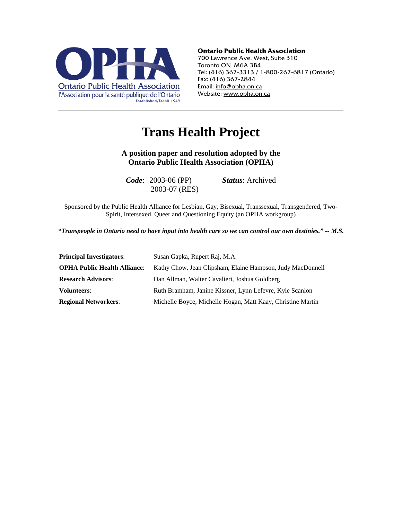

#### **Ontario Public Health Association**

700 Lawrence Ave. West, Suite 310 Toronto ON M6A 3B4 Tel: (416) 367-3313 / 1-800-267-6817 (Ontario) Fax: (416) 367-2844 Email: info@opha.on.ca Website: www.opha.on.ca

# **Trans Health Project**

**A position paper and resolution adopted by the Ontario Public Health Association (OPHA)** 

*Code*: 2003-06 (PP) *Status*: Archived 2003-07 (RES)

Sponsored by the Public Health Alliance for Lesbian, Gay, Bisexual, Transsexual, Transgendered, Two-Spirit, Intersexed, Queer and Questioning Equity (an OPHA workgroup)

*"Transpeople in Ontario need to have input into health care so we can control our own destinies." -- M.S.*

| <b>Principal Investigators:</b>     | Susan Gapka, Rupert Raj, M.A.                               |
|-------------------------------------|-------------------------------------------------------------|
| <b>OPHA Public Health Alliance:</b> | Kathy Chow, Jean Clipsham, Elaine Hampson, Judy MacDonnell  |
| <b>Research Advisors:</b>           | Dan Allman, Walter Cavalieri, Joshua Goldberg               |
| <b>Volunteers:</b>                  | Ruth Bramham, Janine Kissner, Lynn Lefevre, Kyle Scanlon    |
| <b>Regional Networkers:</b>         | Michelle Boyce, Michelle Hogan, Matt Kaay, Christine Martin |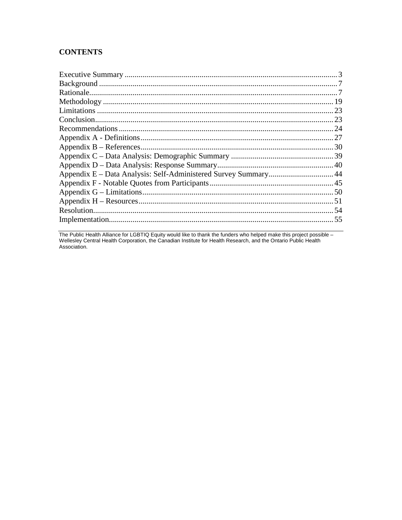## **CONTENTS**

The Public Health Alliance for LGBTIQ Equity would like to thank the funders who helped make this project possible – Wellesley Central Health Corporation, the Canadian Institute for Health Research, and the Ontario Public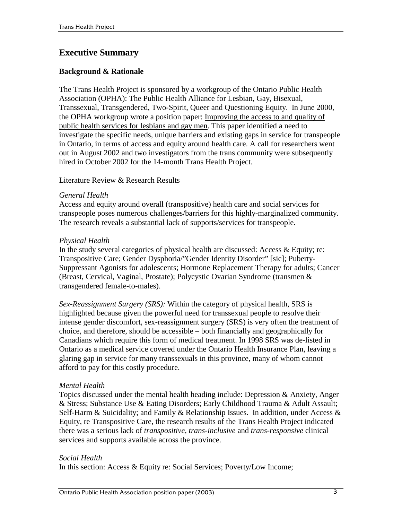## **Executive Summary**

## **Background & Rationale**

The Trans Health Project is sponsored by a workgroup of the Ontario Public Health Association (OPHA): The Public Health Alliance for Lesbian, Gay, Bisexual, Transsexual, Transgendered, Two-Spirit, Queer and Questioning Equity. In June 2000, the OPHA workgroup wrote a position paper: Improving the access to and quality of public health services for lesbians and gay men. This paper identified a need to investigate the specific needs, unique barriers and existing gaps in service for transpeople in Ontario, in terms of access and equity around health care. A call for researchers went out in August 2002 and two investigators from the trans community were subsequently hired in October 2002 for the 14-month Trans Health Project.

#### Literature Review & Research Results

#### *General Health*

Access and equity around overall (transpositive) health care and social services for transpeople poses numerous challenges/barriers for this highly-marginalized community. The research reveals a substantial lack of supports/services for transpeople.

#### *Physical Health*

In the study several categories of physical health are discussed: Access & Equity; re: Transpositive Care; Gender Dysphoria/"Gender Identity Disorder" [sic]; Puberty-Suppressant Agonists for adolescents; Hormone Replacement Therapy for adults; Cancer (Breast, Cervical, Vaginal, Prostate); Polycystic Ovarian Syndrome (transmen & transgendered female-to-males).

*Sex-Reassignment Surgery (SRS):* Within the category of physical health, SRS is highlighted because given the powerful need for transsexual people to resolve their intense gender discomfort, sex-reassignment surgery (SRS) is very often the treatment of choice, and therefore, should be accessible – both financially and geographically for Canadians which require this form of medical treatment. In 1998 SRS was de-listed in Ontario as a medical service covered under the Ontario Health Insurance Plan, leaving a glaring gap in service for many transsexuals in this province, many of whom cannot afford to pay for this costly procedure.

## *Mental Health*

Topics discussed under the mental health heading include: Depression & Anxiety, Anger & Stress; Substance Use & Eating Disorders; Early Childhood Trauma & Adult Assault; Self-Harm & Suicidality; and Family & Relationship Issues. In addition, under Access & Equity, re Transpositive Care, the research results of the Trans Health Project indicated there was a serious lack of *transpositive, trans-inclusive* and *trans-responsive* clinical services and supports available across the province.

#### *Social Health*

In this section: Access & Equity re: Social Services; Poverty/Low Income;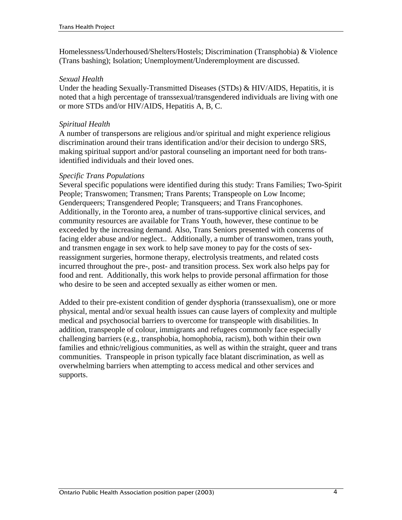Homelessness/Underhoused/Shelters/Hostels; Discrimination (Transphobia) & Violence (Trans bashing); Isolation; Unemployment/Underemployment are discussed.

#### *Sexual Health*

Under the heading Sexually-Transmitted Diseases (STDs) & HIV/AIDS, Hepatitis, it is noted that a high percentage of transsexual/transgendered individuals are living with one or more STDs and/or HIV/AIDS, Hepatitis A, B, C.

## *Spiritual Health*

A number of transpersons are religious and/or spiritual and might experience religious discrimination around their trans identification and/or their decision to undergo SRS, making spiritual support and/or pastoral counseling an important need for both transidentified individuals and their loved ones.

## *Specific Trans Populations*

Several specific populations were identified during this study: Trans Families; Two-Spirit People; Transwomen; Transmen; Trans Parents; Transpeople on Low Income; Genderqueers; Transgendered People; Transqueers; and Trans Francophones. Additionally, in the Toronto area, a number of trans-supportive clinical services, and community resources are available for Trans Youth, however, these continue to be exceeded by the increasing demand. Also, Trans Seniors presented with concerns of facing elder abuse and/or neglect.. Additionally, a number of transwomen, trans youth, and transmen engage in sex work to help save money to pay for the costs of sexreassignment surgeries, hormone therapy, electrolysis treatments, and related costs incurred throughout the pre-, post- and transition process. Sex work also helps pay for food and rent. Additionally, this work helps to provide personal affirmation for those who desire to be seen and accepted sexually as either women or men.

Added to their pre-existent condition of gender dysphoria (transsexualism), one or more physical, mental and/or sexual health issues can cause layers of complexity and multiple medical and psychosocial barriers to overcome for transpeople with disabilities. In addition, transpeople of colour, immigrants and refugees commonly face especially challenging barriers (e.g., transphobia, homophobia, racism), both within their own families and ethnic/religious communities, as well as within the straight, queer and trans communities. Transpeople in prison typically face blatant discrimination, as well as overwhelming barriers when attempting to access medical and other services and supports.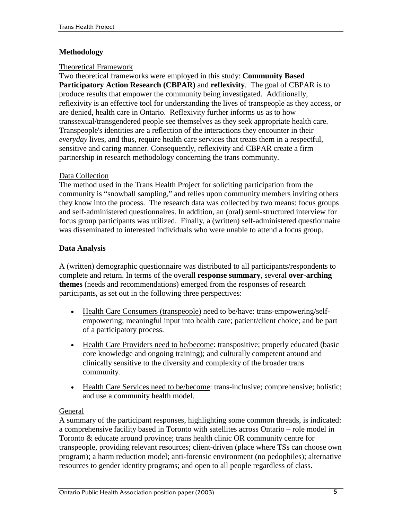## **Methodology**

### Theoretical Framework

Two theoretical frameworks were employed in this study: **Community Based Participatory Action Research (CBPAR)** and **reflexivity**. The goal of CBPAR is to produce results that empower the community being investigated. Additionally, reflexivity is an effective tool for understanding the lives of transpeople as they access, or are denied, health care in Ontario. Reflexivity further informs us as to how transsexual/transgendered people see themselves as they seek appropriate health care. Transpeople's identities are a reflection of the interactions they encounter in their *everyday* lives, and thus, require health care services that treats them in a respectful, sensitive and caring manner. Consequently, reflexivity and CBPAR create a firm partnership in research methodology concerning the trans community.

#### Data Collection

The method used in the Trans Health Project for soliciting participation from the community is "snowball sampling," and relies upon community members inviting others they know into the process. The research data was collected by two means: focus groups and self-administered questionnaires. In addition, an (oral) semi-structured interview for focus group participants was utilized. Finally, a (written) self-administered questionnaire was disseminated to interested individuals who were unable to attend a focus group.

## **Data Analysis**

A (written) demographic questionnaire was distributed to all participants/respondents to complete and return. In terms of the overall **response summary**, several **over-arching themes** (needs and recommendations) emerged from the responses of research participants, as set out in the following three perspectives:

- !" Health Care Consumers (transpeople) need to be/have: trans-empowering/selfempowering; meaningful input into health care; patient/client choice; and be part of a participatory process.
- Health Care Providers need to be/become: transpositive; properly educated (basic core knowledge and ongoing training); and culturally competent around and clinically sensitive to the diversity and complexity of the broader trans community.
- !" Health Care Services need to be/become: trans-inclusive; comprehensive; holistic; and use a community health model.

## General

A summary of the participant responses, highlighting some common threads, is indicated: a comprehensive facility based in Toronto with satellites across Ontario – role model in Toronto & educate around province; trans health clinic OR community centre for transpeople, providing relevant resources; client-driven (place where TSs can choose own program); a harm reduction model; anti-forensic environment (no pedophiles); alternative resources to gender identity programs; and open to all people regardless of class.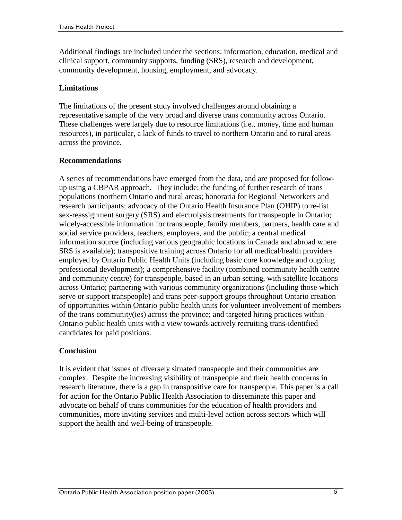Additional findings are included under the sections: information, education, medical and clinical support, community supports, funding (SRS), research and development, community development, housing, employment, and advocacy.

## **Limitations**

The limitations of the present study involved challenges around obtaining a representative sample of the very broad and diverse trans community across Ontario. These challenges were largely due to resource limitations (i.e., money, time and human resources), in particular, a lack of funds to travel to northern Ontario and to rural areas across the province.

## **Recommendations**

A series of recommendations have emerged from the data, and are proposed for followup using a CBPAR approach. They include: the funding of further research of trans populations (northern Ontario and rural areas; honoraria for Regional Networkers and research participants; advocacy of the Ontario Health Insurance Plan (OHIP) to re-list sex-reassignment surgery (SRS) and electrolysis treatments for transpeople in Ontario; widely-accessible information for transpeople, family members, partners, health care and social service providers, teachers, employers, and the public; a central medical information source (including various geographic locations in Canada and abroad where SRS is available); transpositive training across Ontario for all medical/health providers employed by Ontario Public Health Units (including basic core knowledge and ongoing professional development); a comprehensive facility (combined community health centre and community centre) for transpeople, based in an urban setting, with satellite locations across Ontario; partnering with various community organizations (including those which serve or support transpeople) and trans peer-support groups throughout Ontario creation of opportunities within Ontario public health units for volunteer involvement of members of the trans community(ies) across the province; and targeted hiring practices within Ontario public health units with a view towards actively recruiting trans-identified candidates for paid positions.

## **Conclusion**

It is evident that issues of diversely situated transpeople and their communities are complex. Despite the increasing visibility of transpeople and their health concerns in research literature, there is a gap in transpositive care for transpeople. This paper is a call for action for the Ontario Public Health Association to disseminate this paper and advocate on behalf of trans communities for the education of health providers and communities, more inviting services and multi-level action across sectors which will support the health and well-being of transpeople.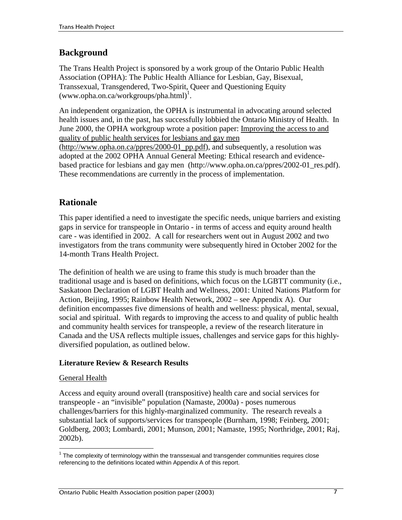## **Background**

The Trans Health Project is sponsored by a work group of the Ontario Public Health Association (OPHA): The Public Health Alliance for Lesbian, Gay, Bisexual, Transsexual, Transgendered, Two-Spirit, Queer and Questioning Equity  $(www.opha.on.ca/workgroups/pha.html)^1$ .

An independent organization, the OPHA is instrumental in advocating around selected health issues and, in the past, has successfully lobbied the Ontario Ministry of Health. In June 2000, the OPHA workgroup wrote a position paper: Improving the access to and quality of public health services for lesbians and gay men

(http://www.opha.on.ca/ppres/2000-01\_pp.pdf), and subsequently, a resolution was adopted at the 2002 OPHA Annual General Meeting: Ethical research and evidencebased practice for lesbians and gay men (http://www.opha.on.ca/ppres/2002-01\_res.pdf). These recommendations are currently in the process of implementation.

## **Rationale**

This paper identified a need to investigate the specific needs, unique barriers and existing gaps in service for transpeople in Ontario - in terms of access and equity around health care - was identified in 2002. A call for researchers went out in August 2002 and two investigators from the trans community were subsequently hired in October 2002 for the 14-month Trans Health Project.

The definition of health we are using to frame this study is much broader than the traditional usage and is based on definitions, which focus on the LGBTT community (i.e., Saskatoon Declaration of LGBT Health and Wellness, 2001: United Nations Platform for Action, Beijing, 1995; Rainbow Health Network, 2002 – see Appendix A). Our definition encompasses five dimensions of health and wellness: physical, mental, sexual, social and spiritual. With regards to improving the access to and quality of public health and community health services for transpeople, a review of the research literature in Canada and the USA reflects multiple issues, challenges and service gaps for this highlydiversified population, as outlined below.

## **Literature Review & Research Results**

## General Health

 $\overline{a}$ 

Access and equity around overall (transpositive) health care and social services for transpeople - an "invisible" population (Namaste, 2000a) - poses numerous challenges/barriers for this highly-marginalized community. The research reveals a substantial lack of supports/services for transpeople (Burnham, 1998; Feinberg, 2001; Goldberg, 2003; Lombardi, 2001; Munson, 2001; Namaste, 1995; Northridge, 2001; Raj, 2002b).

 $1$  The complexity of terminology within the transsexual and transgender communities requires close referencing to the definitions located within Appendix A of this report.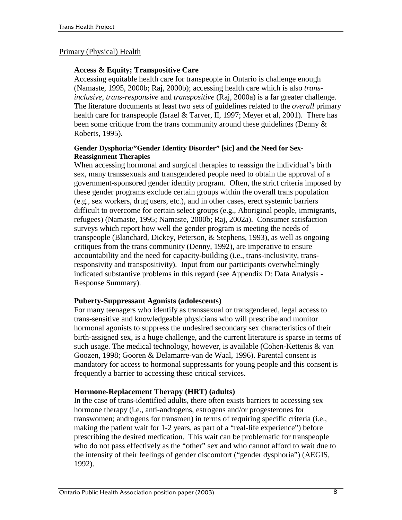### Primary (Physical) Health

### **Access & Equity; Transpositive Care**

Accessing equitable health care for transpeople in Ontario is challenge enough (Namaste, 1995, 2000b; Raj, 2000b); accessing health care which is also *transinclusive, trans-responsive* and *transpositive* (Raj, 2000a) is a far greater challenge. The literature documents at least two sets of guidelines related to the *overall* primary health care for transpeople (Israel & Tarver, II, 1997; Meyer et al, 2001). There has been some critique from the trans community around these guidelines (Denny & Roberts, 1995).

#### **Gender Dysphoria/"Gender Identity Disorder" [sic] and the Need for Sex-Reassignment Therapies**

When accessing hormonal and surgical therapies to reassign the individual's birth sex, many transsexuals and transgendered people need to obtain the approval of a government-sponsored gender identity program. Often, the strict criteria imposed by these gender programs exclude certain groups within the overall trans population (e.g., sex workers, drug users, etc.), and in other cases, erect systemic barriers difficult to overcome for certain select groups (e.g., Aboriginal people, immigrants, refugees) (Namaste, 1995; Namaste, 2000b; Raj, 2002a). Consumer satisfaction surveys which report how well the gender program is meeting the needs of transpeople (Blanchard, Dickey, Peterson, & Stephens, 1993), as well as ongoing critiques from the trans community (Denny, 1992), are imperative to ensure accountability and the need for capacity-building (i.e., trans-inclusivity, transresponsivity and transpositivity). Input from our participants overwhelmingly indicated substantive problems in this regard (see Appendix D: Data Analysis - Response Summary).

#### **Puberty-Suppressant Agonists (adolescents)**

For many teenagers who identify as transsexual or transgendered, legal access to trans-sensitive and knowledgeable physicians who will prescribe and monitor hormonal agonists to suppress the undesired secondary sex characteristics of their birth-assigned sex, is a huge challenge, and the current literature is sparse in terms of such usage. The medical technology, however, is available (Cohen-Kettenis & van Goozen, 1998; Gooren & Delamarre-van de Waal, 1996). Parental consent is mandatory for access to hormonal suppressants for young people and this consent is frequently a barrier to accessing these critical services.

## **Hormone-Replacement Therapy (HRT) (adults)**

In the case of trans-identified adults, there often exists barriers to accessing sex hormone therapy (i.e., anti-androgens, estrogens and/or progesterones for transwomen; androgens for transmen) in terms of requiring specific criteria (i.e., making the patient wait for 1-2 years, as part of a "real-life experience") before prescribing the desired medication. This wait can be problematic for transpeople who do not pass effectively as the "other" sex and who cannot afford to wait due to the intensity of their feelings of gender discomfort ("gender dysphoria") (AEGIS, 1992).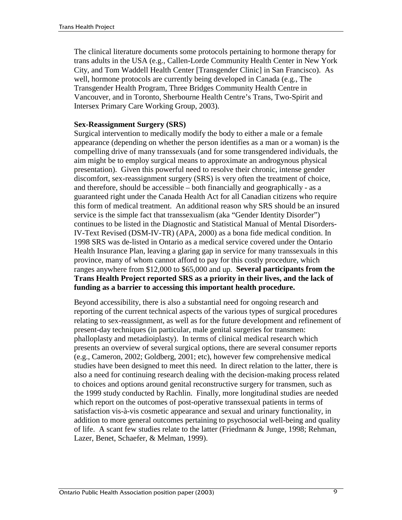The clinical literature documents some protocols pertaining to hormone therapy for trans adults in the USA (e.g., Callen-Lorde Community Health Center in New York City, and Tom Waddell Health Center [Transgender Clinic] in San Francisco). As well, hormone protocols are currently being developed in Canada (e.g., The Transgender Health Program, Three Bridges Community Health Centre in Vancouver, and in Toronto, Sherbourne Health Centre's Trans, Two-Spirit and Intersex Primary Care Working Group, 2003).

#### **Sex-Reassignment Surgery (SRS)**

Surgical intervention to medically modify the body to either a male or a female appearance (depending on whether the person identifies as a man or a woman) is the compelling drive of many transsexuals (and for some transgendered individuals, the aim might be to employ surgical means to approximate an androgynous physical presentation). Given this powerful need to resolve their chronic, intense gender discomfort, sex-reassignment surgery (SRS) is very often the treatment of choice, and therefore, should be accessible – both financially and geographically - as a guaranteed right under the Canada Health Act for all Canadian citizens who require this form of medical treatment. An additional reason why SRS should be an insured service is the simple fact that transsexualism (aka "Gender Identity Disorder") continues to be listed in the Diagnostic and Statistical Manual of Mental Disorders-IV-Text Revised (DSM-IV-TR) (APA, 2000) as a bona fide medical condition. In 1998 SRS was de-listed in Ontario as a medical service covered under the Ontario Health Insurance Plan, leaving a glaring gap in service for many transsexuals in this province, many of whom cannot afford to pay for this costly procedure, which ranges anywhere from \$12,000 to \$65,000 and up. **Several participants from the Trans Health Project reported SRS as a priority in their lives, and the lack of funding as a barrier to accessing this important health procedure.** 

Beyond accessibility, there is also a substantial need for ongoing research and reporting of the current technical aspects of the various types of surgical procedures relating to sex-reassignment, as well as for the future development and refinement of present-day techniques (in particular, male genital surgeries for transmen: phalloplasty and metadioiplasty). In terms of clinical medical research which presents an overview of several surgical options, there are several consumer reports (e.g., Cameron, 2002; Goldberg, 2001; etc), however few comprehensive medical studies have been designed to meet this need. In direct relation to the latter, there is also a need for continuing research dealing with the decision-making process related to choices and options around genital reconstructive surgery for transmen, such as the 1999 study conducted by Rachlin. Finally, more longitudinal studies are needed which report on the outcomes of post-operative transsexual patients in terms of satisfaction vis-à-vis cosmetic appearance and sexual and urinary functionality, in addition to more general outcomes pertaining to psychosocial well-being and quality of life. A scant few studies relate to the latter (Friedmann & Junge, 1998; Rehman, Lazer, Benet, Schaefer, & Melman, 1999).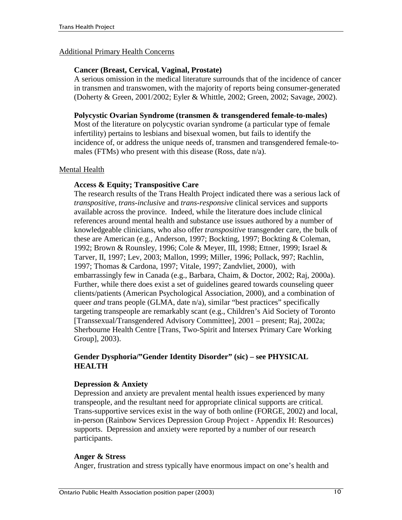#### Additional Primary Health Concerns

#### **Cancer (Breast, Cervical, Vaginal, Prostate)**

A serious omission in the medical literature surrounds that of the incidence of cancer in transmen and transwomen, with the majority of reports being consumer-generated (Doherty & Green, 2001/2002; Eyler & Whittle, 2002; Green, 2002; Savage, 2002).

#### **Polycystic Ovarian Syndrome (transmen & transgendered female-to-males)**

Most of the literature on polycystic ovarian syndrome (a particular type of female infertility) pertains to lesbians and bisexual women, but fails to identify the incidence of, or address the unique needs of, transmen and transgendered female-tomales (FTMs) who present with this disease (Ross, date n/a).

#### Mental Health

#### **Access & Equity; Transpositive Care**

The research results of the Trans Health Project indicated there was a serious lack of *transpositive, trans-inclusive* and *trans-responsive* clinical services and supports available across the province. Indeed, while the literature does include clinical references around mental health and substance use issues authored by a number of knowledgeable clinicians, who also offer *transpositive* transgender care, the bulk of these are American (e.g., Anderson, 1997; Bockting, 1997; Bockting & Coleman, 1992; Brown & Rounsley, 1996; Cole & Meyer, III, 1998; Ettner, 1999; Israel & Tarver, II, 1997; Lev, 2003; Mallon, 1999; Miller, 1996; Pollack, 997; Rachlin, 1997; Thomas & Cardona, 1997; Vitale, 1997; Zandvliet, 2000), with embarrassingly few in Canada (e.g., Barbara, Chaim, & Doctor, 2002; Raj, 2000a). Further, while there does exist a set of guidelines geared towards counseling queer clients/patients (American Psychological Association, 2000), and a combination of queer *and* trans people (GLMA, date n/a), similar "best practices" specifically targeting transpeople are remarkably scant (e.g., Children's Aid Society of Toronto [Transsexual/Transgendered Advisory Committee], 2001 – present; Raj, 2002a; Sherbourne Health Centre [Trans, Two-Spirit and Intersex Primary Care Working Group], 2003).

#### **Gender Dysphoria/"Gender Identity Disorder" (sic) – see PHYSICAL HEALTH**

#### **Depression & Anxiety**

Depression and anxiety are prevalent mental health issues experienced by many transpeople, and the resultant need for appropriate clinical supports are critical. Trans-supportive services exist in the way of both online (FORGE, 2002) and local, in-person (Rainbow Services Depression Group Project - Appendix H: Resources) supports. Depression and anxiety were reported by a number of our research participants.

#### **Anger & Stress**

Anger, frustration and stress typically have enormous impact on one's health and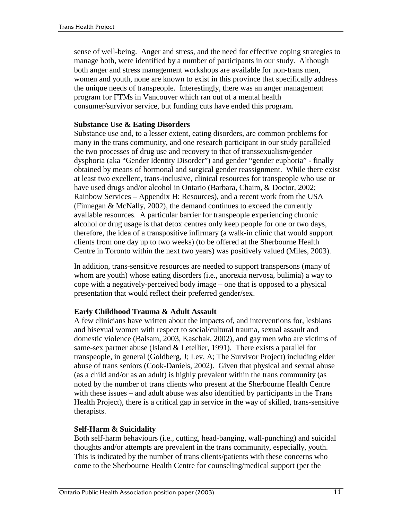sense of well-being. Anger and stress, and the need for effective coping strategies to manage both, were identified by a number of participants in our study. Although both anger and stress management workshops are available for non-trans men, women and youth, none are known to exist in this province that specifically address the unique needs of transpeople. Interestingly, there was an anger management program for FTMs in Vancouver which ran out of a mental health consumer/survivor service, but funding cuts have ended this program.

#### **Substance Use & Eating Disorders**

Substance use and, to a lesser extent, eating disorders, are common problems for many in the trans community, and one research participant in our study paralleled the two processes of drug use and recovery to that of transsexualism/gender dysphoria (aka "Gender Identity Disorder") and gender "gender euphoria" - finally obtained by means of hormonal and surgical gender reassignment. While there exist at least two excellent, trans-inclusive, clinical resources for transpeople who use or have used drugs and/or alcohol in Ontario (Barbara, Chaim, & Doctor, 2002; Rainbow Services – Appendix H: Resources), and a recent work from the USA (Finnegan & McNally, 2002), the demand continues to exceed the currently available resources. A particular barrier for transpeople experiencing chronic alcohol or drug usage is that detox centres only keep people for one or two days, therefore, the idea of a transpositive infirmary (a walk-in clinic that would support clients from one day up to two weeks) (to be offered at the Sherbourne Health Centre in Toronto within the next two years) was positively valued (Miles, 2003).

In addition, trans-sensitive resources are needed to support transpersons (many of whom are youth) whose eating disorders (i.e., anorexia nervosa, bulimia) a way to cope with a negatively-perceived body image – one that is opposed to a physical presentation that would reflect their preferred gender/sex.

## **Early Childhood Trauma & Adult Assault**

A few clinicians have written about the impacts of, and interventions for, lesbians and bisexual women with respect to social/cultural trauma, sexual assault and domestic violence (Balsam, 2003, Kaschak, 2002), and gay men who are victims of same-sex partner abuse (Island & Letellier, 1991). There exists a parallel for transpeople, in general (Goldberg, J; Lev, A; The Survivor Project) including elder abuse of trans seniors (Cook-Daniels, 2002). Given that physical and sexual abuse (as a child and/or as an adult) is highly prevalent within the trans community (as noted by the number of trans clients who present at the Sherbourne Health Centre with these issues – and adult abuse was also identified by participants in the Trans Health Project), there is a critical gap in service in the way of skilled, trans-sensitive therapists.

## **Self-Harm & Suicidality**

Both self-harm behaviours (i.e., cutting, head-banging, wall-punching) and suicidal thoughts and/or attempts are prevalent in the trans community, especially, youth. This is indicated by the number of trans clients/patients with these concerns who come to the Sherbourne Health Centre for counseling/medical support (per the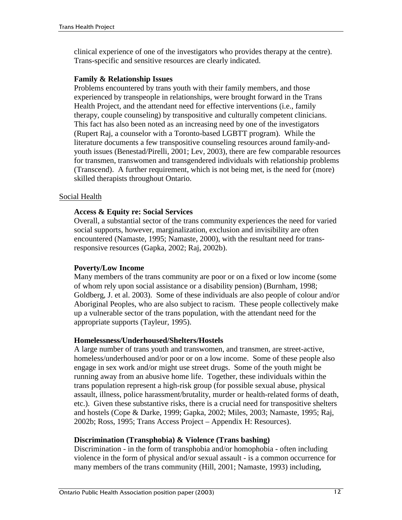clinical experience of one of the investigators who provides therapy at the centre). Trans-specific and sensitive resources are clearly indicated.

#### **Family & Relationship Issues**

Problems encountered by trans youth with their family members, and those experienced by transpeople in relationships, were brought forward in the Trans Health Project, and the attendant need for effective interventions (i.e., family therapy, couple counseling) by transpositive and culturally competent clinicians. This fact has also been noted as an increasing need by one of the investigators (Rupert Raj, a counselor with a Toronto-based LGBTT program). While the literature documents a few transpositive counseling resources around family-andyouth issues (Benestad/Pirelli, 2001; Lev, 2003), there are few comparable resources for transmen, transwomen and transgendered individuals with relationship problems (Transcend). A further requirement, which is not being met, is the need for (more) skilled therapists throughout Ontario.

#### Social Health

#### **Access & Equity re: Social Services**

Overall, a substantial sector of the trans community experiences the need for varied social supports, however, marginalization, exclusion and invisibility are often encountered (Namaste, 1995; Namaste, 2000), with the resultant need for transresponsive resources (Gapka, 2002; Raj, 2002b).

## **Poverty/Low Income**

Many members of the trans community are poor or on a fixed or low income (some of whom rely upon social assistance or a disability pension) (Burnham, 1998; Goldberg, J. et al. 2003). Some of these individuals are also people of colour and/or Aboriginal Peoples, who are also subject to racism. These people collectively make up a vulnerable sector of the trans population, with the attendant need for the appropriate supports (Tayleur, 1995).

## **Homelessness/Underhoused/Shelters/Hostels**

A large number of trans youth and transwomen, and transmen, are street-active, homeless/underhoused and/or poor or on a low income. Some of these people also engage in sex work and/or might use street drugs. Some of the youth might be running away from an abusive home life. Together, these individuals within the trans population represent a high-risk group (for possible sexual abuse, physical assault, illness, police harassment/brutality, murder or health-related forms of death, etc.). Given these substantive risks, there is a crucial need for transpositive shelters and hostels (Cope & Darke, 1999; Gapka, 2002; Miles, 2003; Namaste, 1995; Raj, 2002b; Ross, 1995; Trans Access Project – Appendix H: Resources).

#### **Discrimination (Transphobia) & Violence (Trans bashing)**

Discrimination - in the form of transphobia and/or homophobia - often including violence in the form of physical and/or sexual assault - is a common occurrence for many members of the trans community (Hill, 2001; Namaste, 1993) including,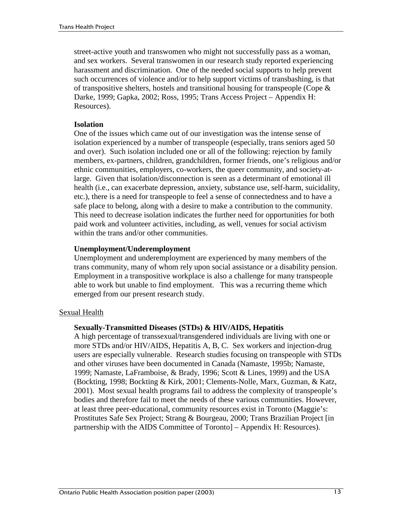street-active youth and transwomen who might not successfully pass as a woman, and sex workers. Several transwomen in our research study reported experiencing harassment and discrimination. One of the needed social supports to help prevent such occurrences of violence and/or to help support victims of transbashing, is that of transpositive shelters, hostels and transitional housing for transpeople (Cope  $\&$ Darke, 1999; Gapka, 2002; Ross, 1995; Trans Access Project – Appendix H: Resources).

#### **Isolation**

One of the issues which came out of our investigation was the intense sense of isolation experienced by a number of transpeople (especially, trans seniors aged 50 and over). Such isolation included one or all of the following: rejection by family members, ex-partners, children, grandchildren, former friends, one's religious and/or ethnic communities, employers, co-workers, the queer community, and society-atlarge. Given that isolation/disconnection is seen as a determinant of emotional ill health (i.e., can exacerbate depression, anxiety, substance use, self-harm, suicidality, etc.), there is a need for transpeople to feel a sense of connectedness and to have a safe place to belong, along with a desire to make a contribution to the community. This need to decrease isolation indicates the further need for opportunities for both paid work and volunteer activities, including, as well, venues for social activism within the trans and/or other communities.

#### **Unemployment/Underemployment**

Unemployment and underemployment are experienced by many members of the trans community, many of whom rely upon social assistance or a disability pension. Employment in a transpositive workplace is also a challenge for many transpeople able to work but unable to find employment. This was a recurring theme which emerged from our present research study.

## Sexual Health

#### **Sexually-Transmitted Diseases (STDs) & HIV/AIDS, Hepatitis**

A high percentage of transsexual/transgendered individuals are living with one or more STDs and/or HIV/AIDS, Hepatitis A, B, C. Sex workers and injection-drug users are especially vulnerable. Research studies focusing on transpeople with STDs and other viruses have been documented in Canada (Namaste, 1995b; Namaste, 1999; Namaste, LaFramboise, & Brady, 1996; Scott & Lines, 1999) and the USA (Bockting, 1998; Bockting & Kirk, 2001; Clements-Nolle, Marx, Guzman, & Katz, 2001). Most sexual health programs fail to address the complexity of transpeople's bodies and therefore fail to meet the needs of these various communities. However, at least three peer-educational, community resources exist in Toronto (Maggie's: Prostitutes Safe Sex Project; Strang & Bourgeau, 2000; Trans Brazilian Project [in partnership with the AIDS Committee of Toronto] – Appendix H: Resources).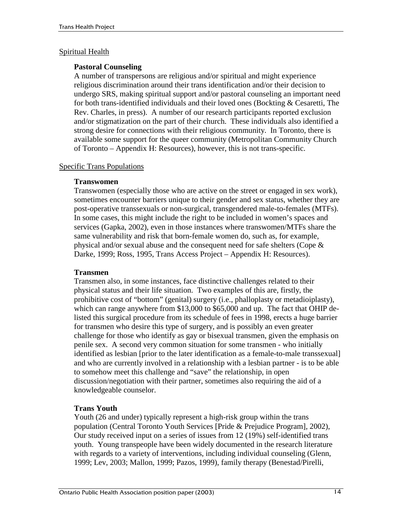#### Spiritual Health

### **Pastoral Counseling**

A number of transpersons are religious and/or spiritual and might experience religious discrimination around their trans identification and/or their decision to undergo SRS, making spiritual support and/or pastoral counseling an important need for both trans-identified individuals and their loved ones (Bockting & Cesaretti, The Rev. Charles, in press). A number of our research participants reported exclusion and/or stigmatization on the part of their church. These individuals also identified a strong desire for connections with their religious community. In Toronto, there is available some support for the queer community (Metropolitan Community Church of Toronto – Appendix H: Resources), however, this is not trans-specific.

#### Specific Trans Populations

#### **Transwomen**

Transwomen (especially those who are active on the street or engaged in sex work), sometimes encounter barriers unique to their gender and sex status, whether they are post-operative transsexuals or non-surgical, transgendered male-to-females (MTFs). In some cases, this might include the right to be included in women's spaces and services (Gapka, 2002), even in those instances where transwomen/MTFs share the same vulnerability and risk that born-female women do, such as, for example, physical and/or sexual abuse and the consequent need for safe shelters (Cope & Darke, 1999; Ross, 1995, Trans Access Project – Appendix H: Resources).

## **Transmen**

Transmen also, in some instances, face distinctive challenges related to their physical status and their life situation. Two examples of this are, firstly, the prohibitive cost of "bottom" (genital) surgery (i.e., phalloplasty or metadioiplasty), which can range anywhere from \$13,000 to \$65,000 and up. The fact that OHIP delisted this surgical procedure from its schedule of fees in 1998, erects a huge barrier for transmen who desire this type of surgery, and is possibly an even greater challenge for those who identify as gay or bisexual transmen, given the emphasis on penile sex. A second very common situation for some transmen - who initially identified as lesbian [prior to the later identification as a female-to-male transsexual] and who are currently involved in a relationship with a lesbian partner - is to be able to somehow meet this challenge and "save" the relationship, in open discussion/negotiation with their partner, sometimes also requiring the aid of a knowledgeable counselor.

## **Trans Youth**

Youth (26 and under) typically represent a high-risk group within the trans population (Central Toronto Youth Services [Pride & Prejudice Program], 2002), Our study received input on a series of issues from 12 (19%) self-identified trans youth. Young transpeople have been widely documented in the research literature with regards to a variety of interventions, including individual counseling (Glenn, 1999; Lev, 2003; Mallon, 1999; Pazos, 1999), family therapy (Benestad/Pirelli,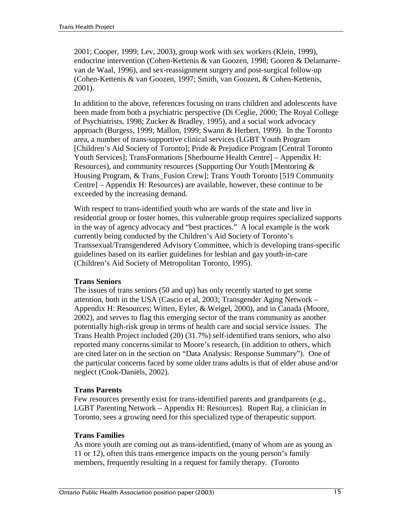2001; Cooper, 1999; Lev, 2003), group work with sex workers (Klein, 1999), endocrine intervention (Cohen-Kettenis & van Goozen, 1998; Gooren & Delamarrevan de Waal, 1996), and sex-reassignment surgery and post-surgical follow-up (Cohen-Kettenis & van Goozen, 1997; Smith, van Goozen, & Cohen-Kettenis, 2001).

In addition to the above, references focusing on trans children and adolescents have been made from both a psychiatric perspective (Di Ceglie, 2000; The Royal College of Psychiatrists, 1998; Zucker & Bradley, 1995), and a social work advocacy approach (Burgess, 1999; Mallon, 1999; Swann & Herbert, 1999). In the Toronto area, a number of trans-supportive clinical services (LGBT Youth Program [Children's Aid Society of Toronto]; Pride & Prejudice Program [Central Toronto Youth Services]; TransFormations [Sherbourne Health Centre] – Appendix H: Resources), and community resources (Supporting Our Youth [Mentoring & Housing Program, & Trans\_Fusion Crew]; Trans Youth Toronto [519 Community Centre] – Appendix H: Resources) are available, however, these continue to be exceeded by the increasing demand.

With respect to trans-identified youth who are wards of the state and live in residential group or foster homes, this vulnerable group requires specialized supports in the way of agency advocacy and "best practices." A local example is the work currently being conducted by the Children's Aid Society of Toronto's Transsexual/Transgendered Advisory Committee, which is developing trans-specific guidelines based on its earlier guidelines for lesbian and gay youth-in-care (Children's Aid Society of Metropolitan Toronto, 1995).

## **Trans Seniors**

The issues of trans seniors (50 and up) has only recently started to get some attention, both in the USA (Cascio et al, 2003; Transgender Aging Network – Appendix H: Resources; Witten, Eyler, & Weigel, 2000), and in Canada (Moore, 2002), and serves to flag this emerging sector of the trans community as another potentially high-risk group in terms of health care and social service issues. The Trans Health Project included (20) (31.7%) self-identified trans seniors, who also reported many concerns similar to Moore's research, (in addition to others, which are cited later on in the section on "Data Analysis: Response Summary"). One of the particular concerns faced by some older trans adults is that of elder abuse and/or neglect (Cook-Daniels, 2002).

## **Trans Parents**

Few resources presently exist for trans-identified parents and grandparents (e.g., LGBT Parenting Network – Appendix H: Resources). Rupert Raj, a clinician in Toronto, sees a growing need for this specialized type of therapeutic support.

## **Trans Families**

As more youth are coming out as trans-identified, (many of whom are as young as 11 or 12), often this trans emergence impacts on the young person's family members, frequently resulting in a request for family therapy. (Toronto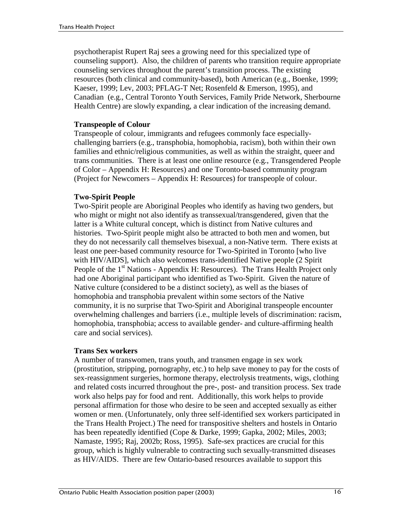psychotherapist Rupert Raj sees a growing need for this specialized type of counseling support). Also, the children of parents who transition require appropriate counseling services throughout the parent's transition process. The existing resources (both clinical and community-based), both American (e.g., Boenke, 1999; Kaeser, 1999; Lev, 2003; PFLAG-T Net; Rosenfeld & Emerson, 1995), and Canadian (e.g., Central Toronto Youth Services, Family Pride Network, Sherbourne Health Centre) are slowly expanding, a clear indication of the increasing demand.

### **Transpeople of Colour**

Transpeople of colour, immigrants and refugees commonly face especiallychallenging barriers (e.g., transphobia, homophobia, racism), both within their own families and ethnic/religious communities, as well as within the straight, queer and trans communities. There is at least one online resource (e.g., Transgendered People of Color – Appendix H: Resources) and one Toronto-based community program (Project for Newcomers – Appendix H: Resources) for transpeople of colour.

## **Two-Spirit People**

Two-Spirit people are Aboriginal Peoples who identify as having two genders, but who might or might not also identify as transsexual/transgendered, given that the latter is a White cultural concept, which is distinct from Native cultures and histories. Two-Spirit people might also be attracted to both men and women, but they do not necessarily call themselves bisexual, a non-Native term. There exists at least one peer-based community resource for Two-Spirited in Toronto [who live with HIV/AIDS], which also welcomes trans-identified Native people (2 Spirit People of the 1<sup>st</sup> Nations - Appendix H: Resources). The Trans Health Project only had one Aboriginal participant who identified as Two-Spirit. Given the nature of Native culture (considered to be a distinct society), as well as the biases of homophobia and transphobia prevalent within some sectors of the Native community, it is no surprise that Two-Spirit and Aboriginal transpeople encounter overwhelming challenges and barriers (i.e., multiple levels of discrimination: racism, homophobia, transphobia; access to available gender- and culture-affirming health care and social services).

## **Trans Sex workers**

A number of transwomen, trans youth, and transmen engage in sex work (prostitution, stripping, pornography, etc.) to help save money to pay for the costs of sex-reassignment surgeries, hormone therapy, electrolysis treatments, wigs, clothing and related costs incurred throughout the pre-, post- and transition process. Sex trade work also helps pay for food and rent. Additionally, this work helps to provide personal affirmation for those who desire to be seen and accepted sexually as either women or men. (Unfortunately, only three self-identified sex workers participated in the Trans Health Project.) The need for transpositive shelters and hostels in Ontario has been repeatedly identified (Cope & Darke, 1999; Gapka, 2002; Miles, 2003; Namaste, 1995; Raj, 2002b; Ross, 1995). Safe-sex practices are crucial for this group, which is highly vulnerable to contracting such sexually-transmitted diseases as HIV/AIDS. There are few Ontario-based resources available to support this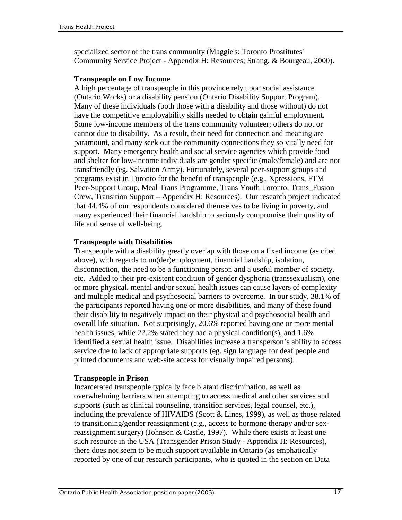specialized sector of the trans community (Maggie's: Toronto Prostitutes' Community Service Project - Appendix H: Resources; Strang, & Bourgeau, 2000).

#### **Transpeople on Low Income**

A high percentage of transpeople in this province rely upon social assistance (Ontario Works) or a disability pension (Ontario Disability Support Program). Many of these individuals (both those with a disability and those without) do not have the competitive employability skills needed to obtain gainful employment. Some low-income members of the trans community volunteer; others do not or cannot due to disability. As a result, their need for connection and meaning are paramount, and many seek out the community connections they so vitally need for support. Many emergency health and social service agencies which provide food and shelter for low-income individuals are gender specific (male/female) and are not transfriendly (eg. Salvation Army). Fortunately, several peer-support groups and programs exist in Toronto for the benefit of transpeople (e.g., Xpressions, FTM Peer-Support Group, Meal Trans Programme, Trans Youth Toronto, Trans\_Fusion Crew, Transition Support – Appendix H: Resources). Our research project indicated that 44.4% of our respondents considered themselves to be living in poverty, and many experienced their financial hardship to seriously compromise their quality of life and sense of well-being.

#### **Transpeople with Disabilities**

Transpeople with a disability greatly overlap with those on a fixed income (as cited above), with regards to un(der)employment, financial hardship, isolation, disconnection, the need to be a functioning person and a useful member of society. etc. Added to their pre-existent condition of gender dysphoria (transsexualism), one or more physical, mental and/or sexual health issues can cause layers of complexity and multiple medical and psychosocial barriers to overcome. In our study, 38.1% of the participants reported having one or more disabilities, and many of these found their disability to negatively impact on their physical and psychosocial health and overall life situation. Not surprisingly, 20.6% reported having one or more mental health issues, while 22.2% stated they had a physical condition(s), and 1.6% identified a sexual health issue. Disabilities increase a transperson's ability to access service due to lack of appropriate supports (eg. sign language for deaf people and printed documents and web-site access for visually impaired persons).

#### **Transpeople in Prison**

Incarcerated transpeople typically face blatant discrimination, as well as overwhelming barriers when attempting to access medical and other services and supports (such as clinical counseling, transition services, legal counsel, etc.), including the prevalence of HIVAIDS (Scott & Lines, 1999), as well as those related to transitioning/gender reassignment (e.g., access to hormone therapy and/or sexreassignment surgery) (Johnson & Castle, 1997). While there exists at least one such resource in the USA (Transgender Prison Study - Appendix H: Resources), there does not seem to be much support available in Ontario (as emphatically reported by one of our research participants, who is quoted in the section on Data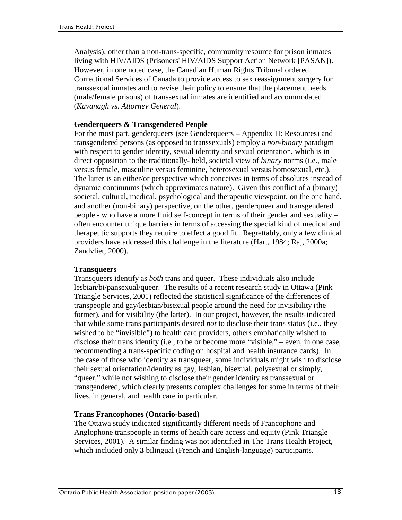Analysis), other than a non-trans-specific, community resource for prison inmates living with HIV/AIDS (Prisoners' HIV/AIDS Support Action Network [PASAN]). However, in one noted case, the Canadian Human Rights Tribunal ordered Correctional Services of Canada to provide access to sex reassignment surgery for transsexual inmates and to revise their policy to ensure that the placement needs (male/female prisons) of transsexual inmates are identified and accommodated (*Kavanagh vs. Attorney General*).

### **Genderqueers & Transgendered People**

For the most part, genderqueers (see Genderqueers – Appendix H: Resources) and transgendered persons (as opposed to transsexuals) employ a *non-binary* paradigm with respect to gender identity, sexual identity and sexual orientation, which is in direct opposition to the traditionally- held, societal view of *binary* norms (i.e., male versus female, masculine versus feminine, heterosexual versus homosexual, etc.). The latter is an either/or perspective which conceives in terms of absolutes instead of dynamic continuums (which approximates nature). Given this conflict of a (binary) societal, cultural, medical, psychological and therapeutic viewpoint, on the one hand, and another (non-binary) perspective, on the other, genderqueer and transgendered people - who have a more fluid self-concept in terms of their gender and sexuality – often encounter unique barriers in terms of accessing the special kind of medical and therapeutic supports they require to effect a good fit. Regrettably, only a few clinical providers have addressed this challenge in the literature (Hart, 1984; Raj, 2000a; Zandvliet, 2000).

## **Transqueers**

Transqueers identify as *both* trans and queer. These individuals also include lesbian/bi/pansexual/queer. The results of a recent research study in Ottawa (Pink Triangle Services, 2001) reflected the statistical significance of the differences of transpeople and gay/lesbian/bisexual people around the need for invisibility (the former), and for visibility (the latter). In our project, however, the results indicated that while some trans participants desired *not* to disclose their trans status (i.e., they wished to be "invisible") to health care providers, others emphatically wished to disclose their trans identity (i.e., to be or become more "visible," – even, in one case, recommending a trans-specific coding on hospital and health insurance cards). In the case of those who identify as transqueer, some individuals might wish to disclose their sexual orientation/identity as gay, lesbian, bisexual, polysexual or simply, "queer," while not wishing to disclose their gender identity as transsexual or transgendered, which clearly presents complex challenges for some in terms of their lives, in general, and health care in particular.

## **Trans Francophones (Ontario-based)**

The Ottawa study indicated significantly different needs of Francophone and Anglophone transpeople in terms of health care access and equity (Pink Triangle Services, 2001). A similar finding was not identified in The Trans Health Project, which included only **3** bilingual (French and English-language) participants.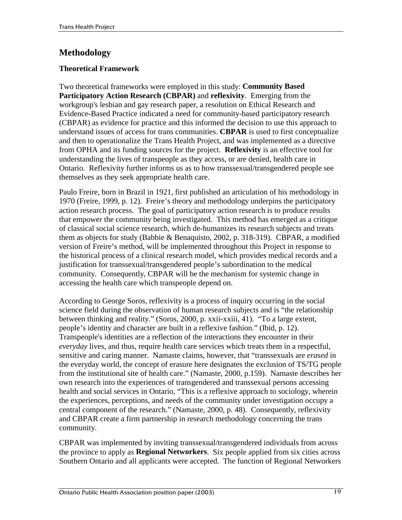## **Methodology**

## **Theoretical Framework**

Two theoretical frameworks were employed in this study: **Community Based Participatory Action Research (CBPAR)** and **reflexivity**. Emerging from the workgroup's lesbian and gay research paper, a resolution on Ethical Research and Evidence-Based Practice indicated a need for community-based participatory research (CBPAR) as evidence for practice and this informed the decision to use this approach to understand issues of access for trans communities. **CBPAR** is used to first conceptualize and then to operationalize the Trans Health Project, and was implemented as a directive from OPHA and its funding sources for the project. **Reflexivity** is an effective tool for understanding the lives of transpeople as they access, or are denied, health care in Ontario. Reflexivity further informs us as to how transsexual/transgendered people see themselves as they seek appropriate health care.

Paulo Freire, born in Brazil in 1921, first published an articulation of his methodology in 1970 (Freire, 1999, p. 12). Freire's theory and methodology underpins the participatory action research process. The goal of participatory action research is to produce results that empower the community being investigated. This method has emerged as a critique of classical social science research, which de-humanizes its research subjects and treats them as objects for study (Babbie & Benaquisto, 2002, p. 318-319). CBPAR, a modified version of Freire's method, will be implemented throughout this Project in response to the historical process of a clinical research model, which provides medical records and a justification for transsexual/transgendered people's subordination to the medical community. Consequently, CBPAR will be the mechanism for systemic change in accessing the health care which transpeople depend on.

According to George Soros, reflexivity is a process of inquiry occurring in the social science field during the observation of human research subjects and is "the relationship between thinking and reality." (Soros, 2000, p. xxii-xxiii, 41). "To a large extent, people's identity and character are built in a reflexive fashion." (Ibid, p. 12). Transpeople's identities are a reflection of the interactions they encounter in their *everyday* lives, and thus, require health care services which treats them in a respectful, sensitive and caring manner. Namaste claims, however, that "transsexuals are *erased* in the everyday world, the concept of erasure here designates the exclusion of TS/TG people from the institutional site of health care." (Namaste, 2000, p.159). Namaste describes her own research into the experiences of transgendered and transsexual persons accessing health and social services in Ontario, "This is a reflexive approach to sociology, wherein the experiences, perceptions, and needs of the community under investigation occupy a central component of the research." (Namaste, 2000, p. 48). Consequently, reflexivity and CBPAR create a firm partnership in research methodology concerning the trans community.

CBPAR was implemented by inviting transsexual/transgendered individuals from across the province to apply as **Regional Networkers**. Six people applied from six cities across Southern Ontario and all applicants were accepted. The function of Regional Networkers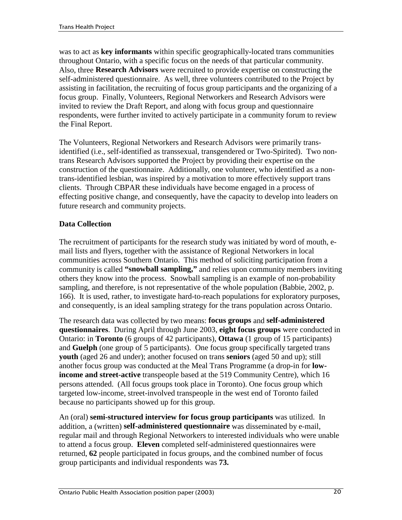was to act as **key informants** within specific geographically-located trans communities throughout Ontario, with a specific focus on the needs of that particular community. Also, three **Research Advisors** were recruited to provide expertise on constructing the self-administered questionnaire. As well, three volunteers contributed to the Project by assisting in facilitation, the recruiting of focus group participants and the organizing of a focus group. Finally, Volunteers, Regional Networkers and Research Advisors were invited to review the Draft Report, and along with focus group and questionnaire respondents, were further invited to actively participate in a community forum to review the Final Report.

The Volunteers, Regional Networkers and Research Advisors were primarily transidentified (i.e., self-identified as transsexual, transgendered or Two-Spirited). Two nontrans Research Advisors supported the Project by providing their expertise on the construction of the questionnaire. Additionally, one volunteer, who identified as a nontrans-identified lesbian, was inspired by a motivation to more effectively support trans clients. Through CBPAR these individuals have become engaged in a process of effecting positive change, and consequently, have the capacity to develop into leaders on future research and community projects.

## **Data Collection**

The recruitment of participants for the research study was initiated by word of mouth, email lists and flyers, together with the assistance of Regional Networkers in local communities across Southern Ontario. This method of soliciting participation from a community is called **"snowball sampling,"** and relies upon community members inviting others they know into the process. Snowball sampling is an example of non-probability sampling, and therefore, is not representative of the whole population (Babbie, 2002, p. 166). It is used, rather, to investigate hard-to-reach populations for exploratory purposes, and consequently, is an ideal sampling strategy for the trans population across Ontario.

The research data was collected by two means: **focus groups** and **self-administered questionnaires**. During April through June 2003, **eight focus groups** were conducted in Ontario: in **Toronto** (6 groups of 42 participants), **Ottawa** (1 group of 15 participants) and **Guelph** (one group of 5 participants). One focus group specifically targeted trans **youth** (aged 26 and under); another focused on trans **seniors** (aged 50 and up); still another focus group was conducted at the Meal Trans Programme (a drop-in for **lowincome and street-active** transpeople based at the 519 Community Centre), which 16 persons attended. (All focus groups took place in Toronto). One focus group which targeted low-income, street-involved transpeople in the west end of Toronto failed because no participants showed up for this group.

An (oral) **semi-structured interview for focus group participants** was utilized. In addition, a (written) **self-administered questionnaire** was disseminated by e-mail, regular mail and through Regional Networkers to interested individuals who were unable to attend a focus group. **Eleven** completed self-administered questionnaires were returned, **62** people participated in focus groups, and the combined number of focus group participants and individual respondents was **73.**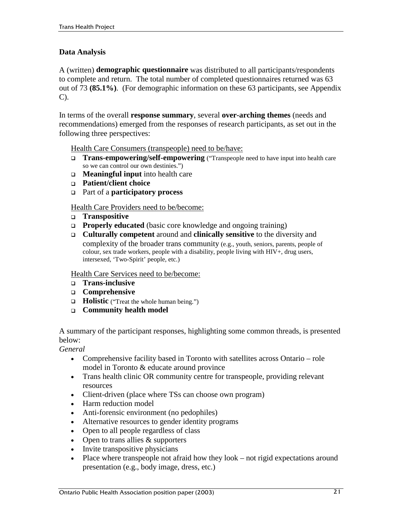## **Data Analysis**

A (written) **demographic questionnaire** was distributed to all participants/respondents to complete and return. The total number of completed questionnaires returned was 63 out of 73 **(85.1%)**. (For demographic information on these 63 participants, see Appendix C).

In terms of the overall **response summary**, several **over-arching themes** (needs and recommendations) emerged from the responses of research participants, as set out in the following three perspectives:

Health Care Consumers (transpeople) need to be/have:

- !" **Trans-empowering/self-empowering** ("Transpeople need to have input into health care so we can control our own destinies.")
- !" **Meaningful input** into health care
- !" **Patient/client choice**
- !" Part of a **participatory process**

Health Care Providers need to be/become:

- !" **Transpositive**
- **Properly educated** (basic core knowledge and ongoing training)
- !" **Culturally competent** around and **clinically sensitive** to the diversity and complexity of the broader trans community (e.g., youth, seniors, parents, people of colour, sex trade workers, people with a disability, people living with HIV+, drug users, intersexed, 'Two-Spirit' people, etc.)

Health Care Services need to be/become:

- !" **Trans-inclusive**
- !" **Comprehensive**
- $\Box$  **Holistic** ("Treat the whole human being.")
- !" **Community health model**

A summary of the participant responses, highlighting some common threads, is presented below:

*General* 

- Comprehensive facility based in Toronto with satellites across Ontario role model in Toronto & educate around province
- Trans health clinic OR community centre for transpeople, providing relevant resources
- Client-driven (place where TSs can choose own program)
- Harm reduction model
- Anti-forensic environment (no pedophiles)
- !" Alternative resources to gender identity programs
- Open to all people regardless of class
- $\bullet$  Open to trans allies  $\&$  supporters
- Invite transpositive physicians
- Place where transpeople not afraid how they look not rigid expectations around presentation (e.g., body image, dress, etc.)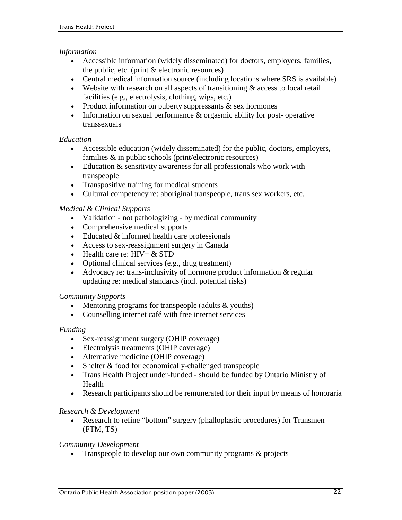#### *Information*

- Accessible information (widely disseminated) for doctors, employers, families, the public, etc. (print & electronic resources)
- Central medical information source (including locations where SRS is available)
- $\bullet$  Website with research on all aspects of transitioning  $\&$  access to local retail facilities (e.g., electrolysis, clothing, wigs, etc.)
- $\bullet$  Product information on puberty suppressants & sex hormones
- $\bullet$  Information on sexual performance  $\&$  orgasmic ability for post- operative transsexuals

#### *Education*

- !" Accessible education (widely disseminated) for the public, doctors, employers, families & in public schools (print/electronic resources)
- $\bullet$  Education & sensitivity awareness for all professionals who work with transpeople
- Transpositive training for medical students
- Cultural competency re: aboriginal transpeople, trans sex workers, etc.

#### *Medical & Clinical Supports*

- Validation not pathologizing by medical community
- Comprehensive medical supports
- Educated & informed health care professionals
- !" Access to sex-reassignment surgery in Canada
- $\bullet$  Health care re: HIV + & STD
- !" Optional clinical services (e.g., drug treatment)
- $\bullet$  Advocacy re: trans-inclusivity of hormone product information & regular updating re: medical standards (incl. potential risks)

#### *Community Supports*

- !" Mentoring programs for transpeople (adults & youths)
- Counselling internet café with free internet services

#### *Funding*

- Sex-reassignment surgery (OHIP coverage)
- Electrolysis treatments (OHIP coverage)
- . Alternative medicine (OHIP coverage)
- Shelter & food for economically-challenged transpeople
- Trans Health Project under-funded should be funded by Ontario Ministry of Health
- Research participants should be remunerated for their input by means of honoraria

#### *Research & Development*

!" Research to refine "bottom" surgery (phalloplastic procedures) for Transmen (FTM, TS)

#### *Community Development*

• Transpeople to develop our own community programs & projects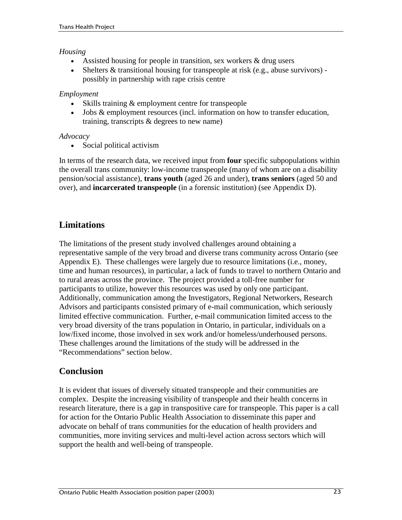## *Housing*

- Assisted housing for people in transition, sex workers  $\&$  drug users
- !" Shelters & transitional housing for transpeople at risk (e.g., abuse survivors) possibly in partnership with rape crisis centre

## *Employment*

- Skills training & employment centre for transpeople
- !" Jobs & employment resources (incl. information on how to transfer education, training, transcripts & degrees to new name)

## *Advocacy*

• Social political activism

In terms of the research data, we received input from **four** specific subpopulations within the overall trans community: low-income transpeople (many of whom are on a disability pension/social assistance), **trans youth** (aged 26 and under), **trans seniors** (aged 50 and over), and **incarcerated transpeople** (in a forensic institution) (see Appendix D).

## **Limitations**

The limitations of the present study involved challenges around obtaining a representative sample of the very broad and diverse trans community across Ontario (see Appendix E). These challenges were largely due to resource limitations (i.e., money, time and human resources), in particular, a lack of funds to travel to northern Ontario and to rural areas across the province. The project provided a toll-free number for participants to utilize, however this resources was used by only one participant. Additionally, communication among the Investigators, Regional Networkers, Research Advisors and participants consisted primary of e-mail communication, which seriously limited effective communication. Further, e-mail communication limited access to the very broad diversity of the trans population in Ontario, in particular, individuals on a low/fixed income, those involved in sex work and/or homeless/underhoused persons. These challenges around the limitations of the study will be addressed in the "Recommendations" section below.

## **Conclusion**

It is evident that issues of diversely situated transpeople and their communities are complex. Despite the increasing visibility of transpeople and their health concerns in research literature, there is a gap in transpositive care for transpeople. This paper is a call for action for the Ontario Public Health Association to disseminate this paper and advocate on behalf of trans communities for the education of health providers and communities, more inviting services and multi-level action across sectors which will support the health and well-being of transpeople.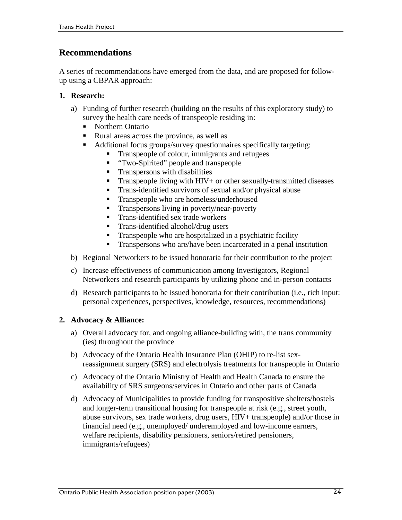## **Recommendations**

A series of recommendations have emerged from the data, and are proposed for followup using a CBPAR approach:

## **1. Research:**

- a) Funding of further research (building on the results of this exploratory study) to survey the health care needs of transpeople residing in:
	- Northern Ontario
	- "Rural areas across the province, as well as
	- Additional focus groups/survey questionnaires specifically targeting:
		- Transpeople of colour, immigrants and refugees
		- **"** "Two-Spirited" people and transpeople
		- **"** Transpersons with disabilities
		- Transpeople living with HIV+ or other sexually-transmitted diseases
		- **"** Trans-identified survivors of sexual and/or physical abuse
		- **"** Transpeople who are homeless/underhoused
		- **"** Transpersons living in poverty/near-poverty
		- "Trans-identified sex trade workers
		- "Trans-identified alcohol/drug users
		- **"** Transpeople who are hospitalized in a psychiatric facility
		- Transpersons who are/have been incarcerated in a penal institution
- b) Regional Networkers to be issued honoraria for their contribution to the project
- c) Increase effectiveness of communication among Investigators, Regional Networkers and research participants by utilizing phone and in-person contacts
- d) Research participants to be issued honoraria for their contribution (i.e., rich input: personal experiences, perspectives, knowledge, resources, recommendations)

## **2. Advocacy & Alliance:**

- a) Overall advocacy for, and ongoing alliance-building with, the trans community (ies) throughout the province
- b) Advocacy of the Ontario Health Insurance Plan (OHIP) to re-list sexreassignment surgery (SRS) and electrolysis treatments for transpeople in Ontario
- c) Advocacy of the Ontario Ministry of Health and Health Canada to ensure the availability of SRS surgeons/services in Ontario and other parts of Canada
- d) Advocacy of Municipalities to provide funding for transpositive shelters/hostels and longer-term transitional housing for transpeople at risk (e.g., street youth, abuse survivors, sex trade workers, drug users, HIV+ transpeople) and/or those in financial need (e.g., unemployed/ underemployed and low-income earners, welfare recipients, disability pensioners, seniors/retired pensioners, immigrants/refugees)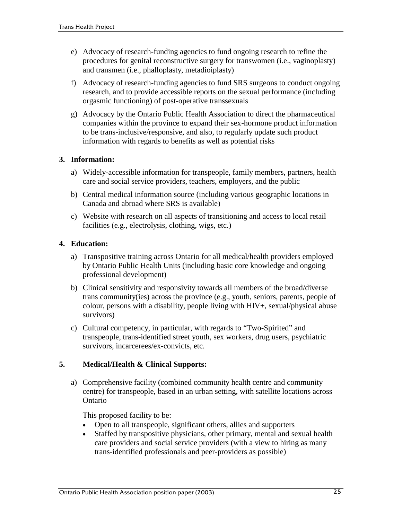- e) Advocacy of research-funding agencies to fund ongoing research to refine the procedures for genital reconstructive surgery for transwomen (i.e., vaginoplasty) and transmen (i.e., phalloplasty, metadioiplasty)
- f) Advocacy of research-funding agencies to fund SRS surgeons to conduct ongoing research, and to provide accessible reports on the sexual performance (including orgasmic functioning) of post-operative transsexuals
- g) Advocacy by the Ontario Public Health Association to direct the pharmaceutical companies within the province to expand their sex-hormone product information to be trans-inclusive/responsive, and also, to regularly update such product information with regards to benefits as well as potential risks

## **3. Information:**

- a) Widely-accessible information for transpeople, family members, partners, health care and social service providers, teachers, employers, and the public
- b) Central medical information source (including various geographic locations in Canada and abroad where SRS is available)
- c) Website with research on all aspects of transitioning and access to local retail facilities (e.g., electrolysis, clothing, wigs, etc.)

#### **4. Education:**

- a) Transpositive training across Ontario for all medical/health providers employed by Ontario Public Health Units (including basic core knowledge and ongoing professional development)
- b) Clinical sensitivity and responsivity towards all members of the broad/diverse trans community(ies) across the province (e.g., youth, seniors, parents, people of colour, persons with a disability, people living with HIV+, sexual/physical abuse survivors)
- c) Cultural competency, in particular, with regards to "Two-Spirited" and transpeople, trans-identified street youth, sex workers, drug users, psychiatric survivors, incarcerees/ex-convicts, etc.

## **5. Medical/Health & Clinical Supports:**

a) Comprehensive facility (combined community health centre and community centre) for transpeople, based in an urban setting, with satellite locations across Ontario

This proposed facility to be:

- Open to all transpeople, significant others, allies and supporters
- Staffed by transpositive physicians, other primary, mental and sexual health care providers and social service providers (with a view to hiring as many trans-identified professionals and peer-providers as possible)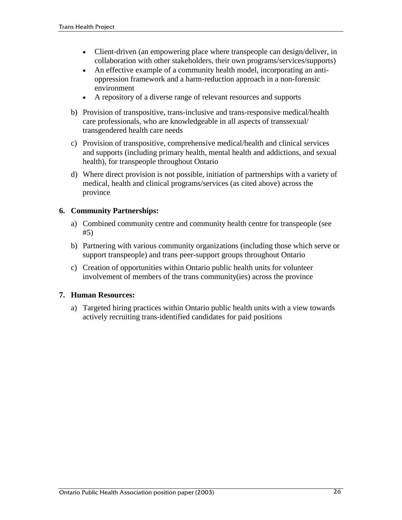- Client-driven (an empowering place where transpeople can design/deliver, in collaboration with other stakeholders, their own programs/services/supports)
- An effective example of a community health model, incorporating an antioppression framework and a harm-reduction approach in a non-forensic environment
- !" A repository of a diverse range of relevant resources and supports
- b) Provision of transpositive, trans-inclusive and trans-responsive medical/health care professionals, who are knowledgeable in all aspects of transsexual/ transgendered health care needs
- c) Provision of transpositive, comprehensive medical/health and clinical services and supports (including primary health, mental health and addictions, and sexual health), for transpeople throughout Ontario
- d) Where direct provision is not possible, initiation of partnerships with a variety of medical, health and clinical programs/services (as cited above) across the province

## **6. Community Partnerships:**

- a) Combined community centre and community health centre for transpeople (see #5)
- b) Partnering with various community organizations (including those which serve or support transpeople) and trans peer-support groups throughout Ontario
- c) Creation of opportunities within Ontario public health units for volunteer involvement of members of the trans community(ies) across the province

## **7. Human Resources:**

a) Targeted hiring practices within Ontario public health units with a view towards actively recruiting trans-identified candidates for paid positions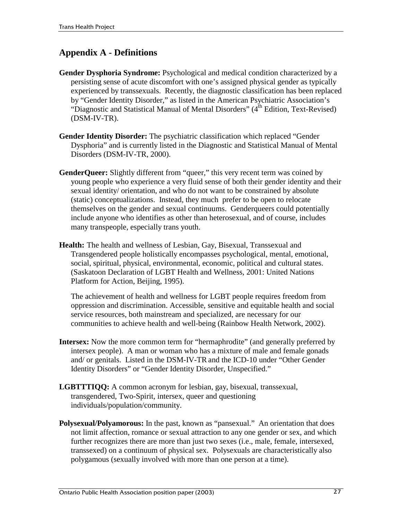## **Appendix A - Definitions**

- Gender Dysphoria Syndrome: Psychological and medical condition characterized by a persisting sense of acute discomfort with one's assigned physical gender as typically experienced by transsexuals. Recently, the diagnostic classification has been replaced by "Gender Identity Disorder," as listed in the American Psychiatric Association's "Diagnostic and Statistical Manual of Mental Disorders" (4<sup>th</sup> Edition, Text-Revised) (DSM-IV-TR).
- **Gender Identity Disorder:** The psychiatric classification which replaced "Gender Dysphoria" and is currently listed in the Diagnostic and Statistical Manual of Mental Disorders (DSM-IV-TR, 2000).
- **GenderQueer:** Slightly different from "queer," this very recent term was coined by young people who experience a very fluid sense of both their gender identity and their sexual identity/ orientation, and who do not want to be constrained by absolute (static) conceptualizations. Instead, they much prefer to be open to relocate themselves on the gender and sexual continuums. Genderqueers could potentially include anyone who identifies as other than heterosexual, and of course, includes many transpeople, especially trans youth.
- **Health:** The health and wellness of Lesbian, Gay, Bisexual, Transsexual and Transgendered people holistically encompasses psychological, mental, emotional, social, spiritual, physical, environmental, economic, political and cultural states. (Saskatoon Declaration of LGBT Health and Wellness, 2001: United Nations Platform for Action, Beijing, 1995).

The achievement of health and wellness for LGBT people requires freedom from oppression and discrimination. Accessible, sensitive and equitable health and social service resources, both mainstream and specialized, are necessary for our communities to achieve health and well-being (Rainbow Health Network, 2002).

- **Intersex:** Now the more common term for "hermaphrodite" (and generally preferred by intersex people). A man or woman who has a mixture of male and female gonads and/ or genitals. Listed in the DSM-IV-TR and the ICD-10 under "Other Gender Identity Disorders" or "Gender Identity Disorder, Unspecified."
- **LGBTTTIQQ:** A common acronym for lesbian, gay, bisexual, transsexual, transgendered, Two-Spirit, intersex, queer and questioning individuals/population/community.
- **Polysexual/Polyamorous:** In the past, known as "pansexual." An orientation that does not limit affection, romance or sexual attraction to any one gender or sex, and which further recognizes there are more than just two sexes (i.e., male, female, intersexed, transsexed) on a continuum of physical sex. Polysexuals are characteristically also polygamous (sexually involved with more than one person at a time).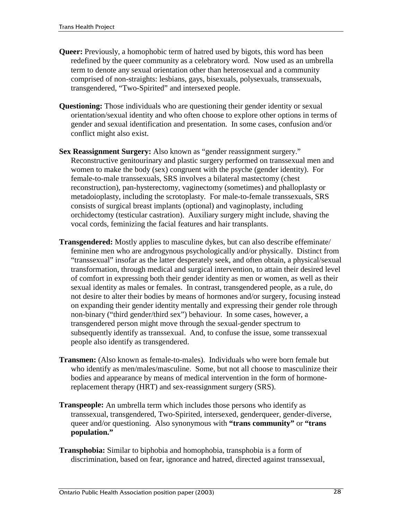- **Queer:** Previously, a homophobic term of hatred used by bigots, this word has been redefined by the queer community as a celebratory word. Now used as an umbrella term to denote any sexual orientation other than heterosexual and a community comprised of non-straights: lesbians, gays, bisexuals, polysexuals, transsexuals, transgendered, "Two-Spirited" and intersexed people.
- **Questioning:** Those individuals who are questioning their gender identity or sexual orientation/sexual identity and who often choose to explore other options in terms of gender and sexual identification and presentation. In some cases, confusion and/or conflict might also exist.
- **Sex Reassignment Surgery:** Also known as "gender reassignment surgery." Reconstructive genitourinary and plastic surgery performed on transsexual men and women to make the body (sex) congruent with the psyche (gender identity). For female-to-male transsexuals, SRS involves a bilateral mastectomy (chest reconstruction), pan-hysterectomy, vaginectomy (sometimes) and phalloplasty or metadoioplasty, including the scrotoplasty. For male-to-female transsexuals, SRS consists of surgical breast implants (optional) and vaginoplasty, including orchidectomy (testicular castration). Auxiliary surgery might include, shaving the vocal cords, feminizing the facial features and hair transplants.
- **Transgendered:** Mostly applies to masculine dykes, but can also describe effeminate/ feminine men who are androgynous psychologically and/or physically. Distinct from "transsexual" insofar as the latter desperately seek, and often obtain, a physical/sexual transformation, through medical and surgical intervention, to attain their desired level of comfort in expressing both their gender identity as men or women, as well as their sexual identity as males or females. In contrast, transgendered people, as a rule, do not desire to alter their bodies by means of hormones and/or surgery, focusing instead on expanding their gender identity mentally and expressing their gender role through non-binary ("third gender/third sex") behaviour. In some cases, however, a transgendered person might move through the sexual-gender spectrum to subsequently identify as transsexual. And, to confuse the issue, some transsexual people also identify as transgendered.
- **Transmen:** (Also known as female-to-males). Individuals who were born female but who identify as men/males/masculine. Some, but not all choose to masculinize their bodies and appearance by means of medical intervention in the form of hormonereplacement therapy (HRT) and sex-reassignment surgery (SRS).
- **Transpeople:** An umbrella term which includes those persons who identify as transsexual, transgendered, Two-Spirited, intersexed, genderqueer, gender-diverse, queer and/or questioning. Also synonymous with **"trans community"** or **"trans population."**
- **Transphobia:** Similar to biphobia and homophobia, transphobia is a form of discrimination, based on fear, ignorance and hatred, directed against transsexual,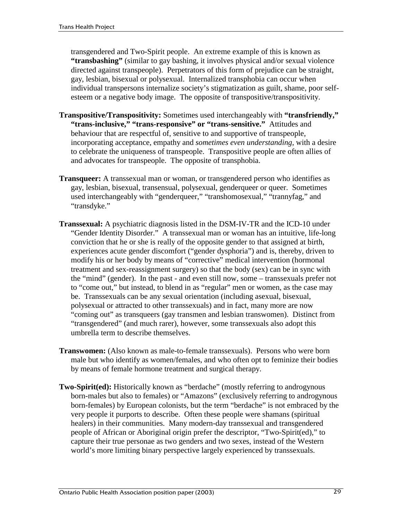transgendered and Two-Spirit people. An extreme example of this is known as **"transbashing"** (similar to gay bashing, it involves physical and/or sexual violence directed against transpeople). Perpetrators of this form of prejudice can be straight, gay, lesbian, bisexual or polysexual. Internalized transphobia can occur when individual transpersons internalize society's stigmatization as guilt, shame, poor selfesteem or a negative body image. The opposite of transpositive/transpositivity.

- **Transpositive/Transpositivity:** Sometimes used interchangeably with **"transfriendly," "trans-inclusive," "trans-responsive" or "trans-sensitive."** Attitudes and behaviour that are respectful of, sensitive to and supportive of transpeople, incorporating acceptance, empathy and *sometimes even understanding*, with a desire to celebrate the uniqueness of transpeople. Transpositive people are often allies of and advocates for transpeople. The opposite of transphobia.
- **Transqueer:** A transsexual man or woman, or transgendered person who identifies as gay, lesbian, bisexual, transensual, polysexual, genderqueer or queer. Sometimes used interchangeably with "genderqueer," "transhomosexual," "trannyfag," and "transdyke."
- **Transsexual:** A psychiatric diagnosis listed in the DSM-IV-TR and the ICD-10 under "Gender Identity Disorder." A transsexual man or woman has an intuitive, life-long conviction that he or she is really of the opposite gender to that assigned at birth, experiences acute gender discomfort ("gender dysphoria") and is, thereby, driven to modify his or her body by means of "corrective" medical intervention (hormonal treatment and sex-reassignment surgery) so that the body (sex) can be in sync with the "mind" (gender). In the past - and even still now, some – transsexuals prefer not to "come out," but instead, to blend in as "regular" men or women, as the case may be. Transsexuals can be any sexual orientation (including asexual, bisexual, polysexual or attracted to other transsexuals) and in fact, many more are now "coming out" as transqueers (gay transmen and lesbian transwomen). Distinct from "transgendered" (and much rarer), however, some transsexuals also adopt this umbrella term to describe themselves.
- **Transwomen:** (Also known as male-to-female transsexuals). Persons who were born male but who identify as women/females, and who often opt to feminize their bodies by means of female hormone treatment and surgical therapy.
- **Two-Spirit(ed):** Historically known as "berdache" (mostly referring to androgynous born-males but also to females) or "Amazons" (exclusively referring to androgynous born-females) by European colonists, but the term "berdache" is not embraced by the very people it purports to describe. Often these people were shamans (spiritual healers) in their communities. Many modern-day transsexual and transgendered people of African or Aboriginal origin prefer the descriptor, "Two-Spirit(ed)," to capture their true personae as two genders and two sexes, instead of the Western world's more limiting binary perspective largely experienced by transsexuals.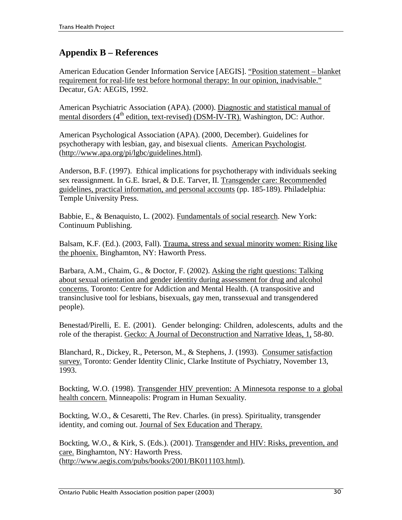## **Appendix B – References**

American Education Gender Information Service [AEGIS]. "Position statement – blanket requirement for real-life test before hormonal therapy: In our opinion, inadvisable." Decatur, GA: AEGIS, 1992.

American Psychiatric Association (APA). (2000). Diagnostic and statistical manual of mental disorders (4<sup>th</sup> edition, text-revised) (DSM-IV-TR). Washington, DC: Author.

American Psychological Association (APA). (2000, December). Guidelines for psychotherapy with lesbian, gay, and bisexual clients. American Psychologist. (http://www.apa.org/pi/lgbc/guidelines.html).

Anderson, B.F. (1997). Ethical implications for psychotherapy with individuals seeking sex reassignment. In G.E. Israel, & D.E. Tarver, II. Transgender care: Recommended guidelines, practical information, and personal accounts (pp. 185-189). Philadelphia: Temple University Press.

Babbie, E., & Benaquisto, L. (2002). Fundamentals of social research. New York: Continuum Publishing.

Balsam, K.F. (Ed.). (2003, Fall). Trauma, stress and sexual minority women: Rising like the phoenix. Binghamton, NY: Haworth Press.

Barbara, A.M., Chaim, G., & Doctor, F. (2002). Asking the right questions: Talking about sexual orientation and gender identity during assessment for drug and alcohol concerns. Toronto: Centre for Addiction and Mental Health. (A transpositive and transinclusive tool for lesbians, bisexuals, gay men, transsexual and transgendered people).

Benestad/Pirelli, E. E. (2001). Gender belonging: Children, adolescents, adults and the role of the therapist. Gecko: A Journal of Deconstruction and Narrative Ideas, 1, 58-80.

Blanchard, R., Dickey, R., Peterson, M., & Stephens, J. (1993). Consumer satisfaction survey. Toronto: Gender Identity Clinic, Clarke Institute of Psychiatry, November 13, 1993.

Bockting, W.O. (1998). Transgender HIV prevention: A Minnesota response to a global health concern. Minneapolis: Program in Human Sexuality.

Bockting, W.O., & Cesaretti, The Rev. Charles. (in press). Spirituality, transgender identity, and coming out. Journal of Sex Education and Therapy.

Bockting, W.O., & Kirk, S. (Eds.). (2001). Transgender and HIV: Risks, prevention, and care. Binghamton, NY: Haworth Press. (http://www.aegis.com/pubs/books/2001/BK011103.html).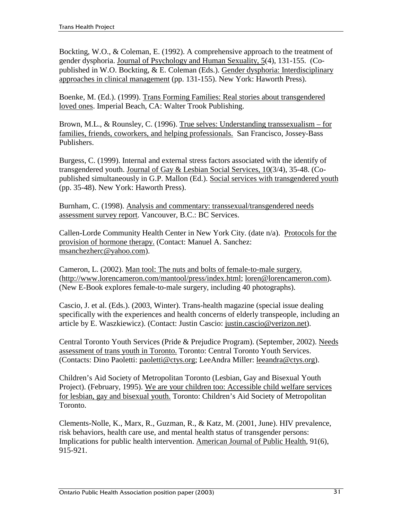Bockting, W.O., & Coleman, E. (1992). A comprehensive approach to the treatment of gender dysphoria. Journal of Psychology and Human Sexuality, 5(4), 131-155. (Copublished in W.O. Bockting, & E. Coleman (Eds.). Gender dysphoria: Interdisciplinary approaches in clinical management (pp. 131-155). New York: Haworth Press).

Boenke, M. (Ed.). (1999). Trans Forming Families: Real stories about transgendered loved ones. Imperial Beach, CA: Walter Trook Publishing.

Brown, M.L., & Rounsley, C. (1996). True selves: Understanding transsexualism – for families, friends, coworkers, and helping professionals. San Francisco, Jossey-Bass Publishers.

Burgess, C. (1999). Internal and external stress factors associated with the identify of transgendered youth. Journal of Gay & Lesbian Social Services, 10(3/4), 35-48. (Copublished simultaneously in G.P. Mallon (Ed.). Social services with transgendered youth (pp. 35-48). New York: Haworth Press).

Burnham, C. (1998). Analysis and commentary: transsexual/transgendered needs assessment survey report. Vancouver, B.C.: BC Services.

Callen-Lorde Community Health Center in New York City. (date n/a). Protocols for the provision of hormone therapy. (Contact: Manuel A. Sanchez: msanchezherc@yahoo.com).

Cameron, L. (2002). Man tool: The nuts and bolts of female-to-male surgery. (http://www.lorencameron.com/mantool/press/index.html; loren@lorencameron.com). (New E-Book explores female-to-male surgery, including 40 photographs).

Cascio, J. et al. (Eds.). (2003, Winter). Trans-health magazine (special issue dealing specifically with the experiences and health concerns of elderly transpeople, including an article by E. Waszkiewicz). (Contact: Justin Cascio: justin.cascio@verizon.net).

Central Toronto Youth Services (Pride & Prejudice Program). (September, 2002). Needs assessment of trans youth in Toronto. Toronto: Central Toronto Youth Services. (Contacts: Dino Paoletti: paoletti@ctys.org; LeeAndra Miller: leeandra@ctys.org).

Children's Aid Society of Metropolitan Toronto (Lesbian, Gay and Bisexual Youth Project). (February, 1995). We are your children too: Accessible child welfare services for lesbian, gay and bisexual youth. Toronto: Children's Aid Society of Metropolitan Toronto.

Clements-Nolle, K., Marx, R., Guzman, R., & Katz, M. (2001, June). HIV prevalence, risk behaviors, health care use, and mental health status of transgender persons: Implications for public health intervention. American Journal of Public Health, 91(6), 915-921.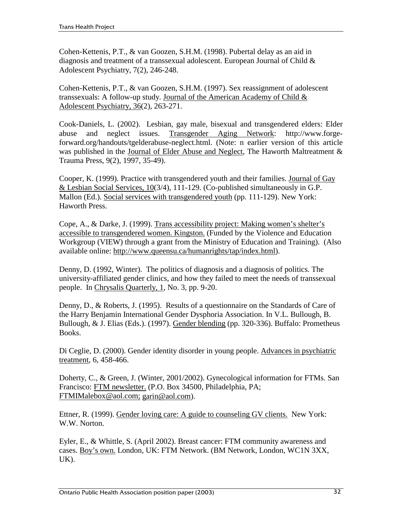Cohen-Kettenis, P.T., & van Goozen, S.H.M. (1998). Pubertal delay as an aid in diagnosis and treatment of a transsexual adolescent. European Journal of Child & Adolescent Psychiatry, 7(2), 246-248.

Cohen-Kettenis, P.T., & van Goozen, S.H.M. (1997). Sex reassignment of adolescent transsexuals: A follow-up study. Journal of the American Academy of Child  $\&$ Adolescent Psychiatry, 36(2), 263-271.

Cook-Daniels, L. (2002). Lesbian, gay male, bisexual and transgendered elders: Elder abuse and neglect issues. Transgender Aging Network: http://www.forgeforward.org/handouts/tgelderabuse-neglect.html. (Note: n earlier version of this article was published in the Journal of Elder Abuse and Neglect, The Haworth Maltreatment & Trauma Press, 9(2), 1997, 35-49).

Cooper, K. (1999). Practice with transgendered youth and their families. Journal of Gay & Lesbian Social Services, 10(3/4), 111-129. (Co-published simultaneously in G.P. Mallon (Ed.). Social services with transgendered youth (pp. 111-129). New York: Haworth Press.

Cope, A., & Darke, J. (1999). Trans accessibility project: Making women's shelter's accessible to transgendered women. Kingston. (Funded by the Violence and Education Workgroup (VIEW) through a grant from the Ministry of Education and Training). (Also available online: http://www.queensu.ca/humanrights/tap/index.html).

Denny, D. (1992, Winter). The politics of diagnosis and a diagnosis of politics. The university-affiliated gender clinics, and how they failed to meet the needs of transsexual people. In Chrysalis Quarterly, 1, No. 3, pp. 9-20.

Denny, D., & Roberts, J. (1995). Results of a questionnaire on the Standards of Care of the Harry Benjamin International Gender Dysphoria Association. In V.L. Bullough, B. Bullough, & J. Elias (Eds.). (1997). Gender blending (pp. 320-336). Buffalo: Prometheus Books.

Di Ceglie, D. (2000). Gender identity disorder in young people. Advances in psychiatric treatment, 6, 458-466.

Doherty, C., & Green, J. (Winter, 2001/2002). Gynecological information for FTMs. San Francisco: FTM newsletter. (P.O. Box 34500, Philadelphia, PA; FTMIMalebox@aol.com; garin@aol.com).

Ettner, R. (1999). Gender loving care: A guide to counseling GV clients. New York: W.W. Norton.

Eyler, E., & Whittle, S. (April 2002). Breast cancer: FTM community awareness and cases. Boy's own. London, UK: FTM Network. (BM Network, London, WC1N 3XX, UK).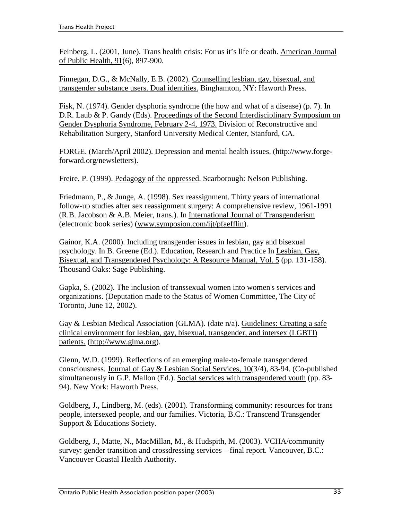Feinberg, L. (2001, June). Trans health crisis: For us it's life or death. American Journal of Public Health, 91(6), 897-900.

Finnegan, D.G., & McNally, E.B. (2002). Counselling lesbian, gay, bisexual, and transgender substance users. Dual identities. Binghamton, NY: Haworth Press.

Fisk, N. (1974). Gender dysphoria syndrome (the how and what of a disease) (p. 7). In D.R. Laub & P. Gandy (Eds). Proceedings of the Second Interdisciplinary Symposium on Gender Dysphoria Syndrome, February 2-4, 1973. Division of Reconstructive and Rehabilitation Surgery, Stanford University Medical Center, Stanford, CA.

FORGE. (March/April 2002). Depression and mental health issues. (http://www.forgeforward.org/newsletters).

Freire, P. (1999). Pedagogy of the oppressed. Scarborough: Nelson Publishing.

Friedmann, P., & Junge, A. (1998). Sex reassignment. Thirty years of international follow-up studies after sex reassignment surgery: A comprehensive review, 1961-1991 (R.B. Jacobson & A.B. Meier, trans.). In International Journal of Transgenderism (electronic book series) (www.symposion.com/ijt/pfaefflin).

Gainor, K.A. (2000). Including transgender issues in lesbian, gay and bisexual psychology. In B. Greene (Ed.). Education, Research and Practice In Lesbian, Gay, Bisexual, and Transgendered Psychology: A Resource Manual, Vol. 5 (pp. 131-158). Thousand Oaks: Sage Publishing.

Gapka, S. (2002). The inclusion of transsexual women into women's services and organizations. (Deputation made to the Status of Women Committee, The City of Toronto, June 12, 2002).

Gay & Lesbian Medical Association (GLMA). (date n/a). Guidelines: Creating a safe clinical environment for lesbian, gay, bisexual, transgender, and intersex (LGBTI) patients. (http://www.glma.org).

Glenn, W.D. (1999). Reflections of an emerging male-to-female transgendered consciousness. Journal of Gay & Lesbian Social Services, 10(3/4), 83-94. (Co-published simultaneously in G.P. Mallon (Ed.). Social services with transgendered youth (pp. 83- 94). New York: Haworth Press.

Goldberg, J., Lindberg, M. (eds). (2001). Transforming community: resources for trans people, intersexed people, and our families. Victoria, B.C.: Transcend Transgender Support & Educations Society.

Goldberg, J., Matte, N., MacMillan, M., & Hudspith, M. (2003). VCHA/community survey: gender transition and crossdressing services – final report. Vancouver, B.C.: Vancouver Coastal Health Authority.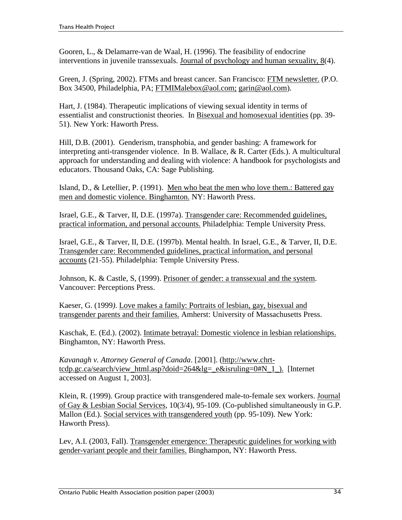Gooren, L., & Delamarre-van de Waal, H. (1996). The feasibility of endocrine interventions in juvenile transsexuals. Journal of psychology and human sexuality, 8(4).

Green, J. (Spring, 2002). FTMs and breast cancer. San Francisco: FTM newsletter. (P.O. Box 34500, Philadelphia, PA; FTMIMalebox@aol.com; garin@aol.com).

Hart, J. (1984). Therapeutic implications of viewing sexual identity in terms of essentialist and constructionist theories. In Bisexual and homosexual identities (pp. 39- 51). New York: Haworth Press.

Hill, D.B. (2001). Genderism, transphobia, and gender bashing: A framework for interpreting anti-transgender violence. In B. Wallace, & R. Carter (Eds.). A multicultural approach for understanding and dealing with violence: A handbook for psychologists and educators. Thousand Oaks, CA: Sage Publishing.

Island, D., & Letellier, P. (1991). Men who beat the men who love them.: Battered gay men and domestic violence. Binghamton. NY: Haworth Press.

Israel, G.E., & Tarver, II, D.E. (1997a). Transgender care: Recommended guidelines, practical information, and personal accounts. Philadelphia: Temple University Press.

Israel, G.E., & Tarver, II, D.E. (1997b). Mental health. In Israel, G.E., & Tarver, II, D.E. Transgender care: Recommended guidelines, practical information, and personal accounts (21-55). Philadelphia: Temple University Press.

Johnson, K. & Castle, S, (1999). Prisoner of gender: a transsexual and the system. Vancouver: Perceptions Press.

Kaeser, G. (1999*)*. Love makes a family: Portraits of lesbian, gay, bisexual and transgender parents and their families. Amherst: University of Massachusetts Press.

Kaschak, E. (Ed.). (2002). Intimate betrayal: Domestic violence in lesbian relationships. Binghamton, NY: Haworth Press.

*Kavanagh v. Attorney General of Canada*. [2001]. (http://www.chrttcdp.gc.ca/search/view\_html.asp?doid=264&lg=\_e&isruling=0#N\_1\_). [Internet] accessed on August 1, 2003].

Klein, R. (1999). Group practice with transgendered male-to-female sex workers. Journal of Gay & Lesbian Social Services, 10(3/4), 95-109. (Co-published simultaneously in G.P. Mallon (Ed.). Social services with transgendered youth (pp. 95-109). New York: Haworth Press).

Lev, A.I. (2003, Fall). Transgender emergence: Therapeutic guidelines for working with gender-variant people and their families. Binghampon, NY: Haworth Press.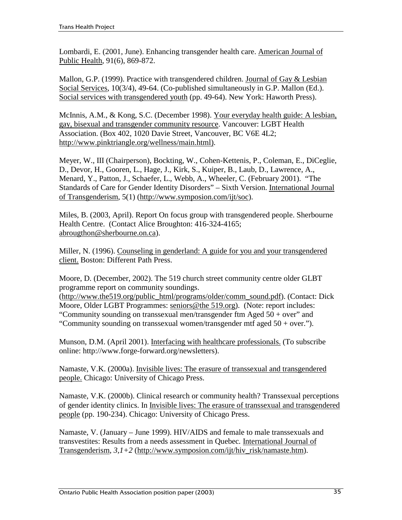Lombardi, E. (2001, June). Enhancing transgender health care. American Journal of Public Health, 91(6), 869-872.

Mallon, G.P. (1999). Practice with transgendered children. Journal of Gay & Lesbian Social Services, 10(3/4), 49-64. (Co-published simultaneously in G.P. Mallon (Ed.). Social services with transgendered youth (pp. 49-64). New York: Haworth Press).

McInnis, A.M., & Kong, S.C. (December 1998). Your everyday health guide: A lesbian, gay, bisexual and transgender community resource. Vancouver: LGBT Health Association. (Box 402, 1020 Davie Street, Vancouver, BC V6E 4L2; http://www.pinktriangle.org/wellness/main.html).

Meyer, W., III (Chairperson), Bockting, W., Cohen-Kettenis, P., Coleman, E., DiCeglie, D., Devor, H., Gooren, L., Hage, J., Kirk, S., Kuiper, B., Laub, D., Lawrence, A., Menard, Y., Patton, J., Schaefer, L., Webb, A., Wheeler, C. (February 2001). "The Standards of Care for Gender Identity Disorders" – Sixth Version. International Journal of Transgenderism, 5(1) (http://www.symposion.com/ijt/soc).

Miles, B. (2003, April). Report On focus group with transgendered people. Sherbourne Health Centre. (Contact Alice Broughton: 416-324-4165; abrougthon@sherbourne.on.ca).

Miller, N. (1996). Counseling in genderland: A guide for you and your transgendered client. Boston: Different Path Press.

Moore, D. (December, 2002). The 519 church street community centre older GLBT programme report on community soundings.

(http://www.the519.org/public\_html/programs/older/comm\_sound.pdf). (Contact: Dick Moore, Older LGBT Programmes: seniors@the 519.org). (Note: report includes: "Community sounding on transsexual men/transgender ftm Aged 50 + over" and "Community sounding on transsexual women/transgender mtf aged  $50 + over$ ").

Munson, D.M. (April 2001). Interfacing with healthcare professionals. (To subscribe online: http://www.forge-forward.org/newsletters).

Namaste, V.K. (2000a). Invisible lives: The erasure of transsexual and transgendered people. Chicago: University of Chicago Press.

Namaste, V.K. (2000b). Clinical research or community health? Transsexual perceptions of gender identity clinics. In Invisible lives: The erasure of transsexual and transgendered people (pp. 190-234). Chicago: University of Chicago Press.

Namaste, V. (January – June 1999). HIV/AIDS and female to male transsexuals and transvestites: Results from a needs assessment in Quebec*.* International Journal of Transgenderism,  $3.1+2$  (http://www.symposion.com/ijt/hiv\_risk/namaste.htm).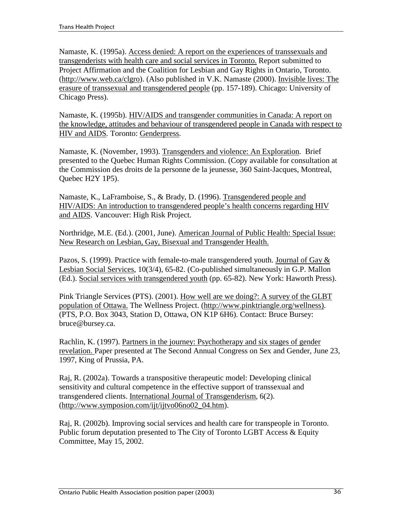Namaste, K. (1995a). Access denied: A report on the experiences of transsexuals and transgenderists with health care and social services in Toronto. Report submitted to Project Affirmation and the Coalition for Lesbian and Gay Rights in Ontario, Toronto. (http://www.web.ca/clgro). (Also published in V.K. Namaste (2000). Invisible lives: The erasure of transsexual and transgendered people (pp. 157-189). Chicago: University of Chicago Press).

Namaste, K. (1995b). HIV/AIDS and transgender communities in Canada: A report on the knowledge, attitudes and behaviour of transgendered people in Canada with respect to HIV and AIDS*.* Toronto: Genderpress.

Namaste, K. (November, 1993). Transgenders and violence: An Exploration. Brief presented to the Quebec Human Rights Commission. (Copy available for consultation at the Commission des droits de la personne de la jeunesse, 360 Saint-Jacques, Montreal, Quebec H2Y 1P5).

Namaste, K., LaFramboise, S., & Brady, D. (1996). Transgendered people and HIV/AIDS: An introduction to transgendered people's health concerns regarding HIV and AIDS. Vancouver: High Risk Project.

Northridge, M.E. (Ed.). (2001, June). American Journal of Public Health: Special Issue: New Research on Lesbian, Gay, Bisexual and Transgender Health.

Pazos, S. (1999). Practice with female-to-male transgendered youth. Journal of Gay & Lesbian Social Services, 10(3/4), 65-82. (Co-published simultaneously in G.P. Mallon (Ed.). Social services with transgendered youth (pp. 65-82). New York: Haworth Press).

Pink Triangle Services (PTS). (2001). How well are we doing?: A survey of the GLBT population of Ottawa. The Wellness Project. (http://www.pinktriangle.org/wellness). (PTS, P.O. Box 3043, Station D, Ottawa, ON K1P 6H6). Contact: Bruce Bursey: bruce@bursey.ca.

Rachlin, K. (1997). Partners in the journey: Psychotherapy and six stages of gender revelation. Paper presented at The Second Annual Congress on Sex and Gender, June 23, 1997, King of Prussia, PA.

Raj, R. (2002a). Towards a transpositive therapeutic model: Developing clinical sensitivity and cultural competence in the effective support of transsexual and transgendered clients. International Journal of Transgenderism, 6(2). (http://www.symposion.com/ijt/ijtvo06no02\_04.htm).

Raj, R. (2002b). Improving social services and health care for transpeople in Toronto. Public forum deputation presented to The City of Toronto LGBT Access & Equity Committee, May 15, 2002.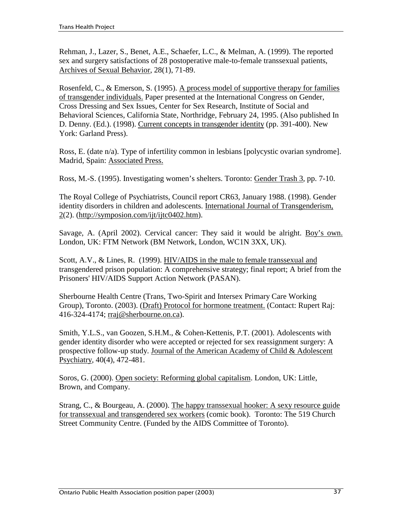Rehman, J., Lazer, S., Benet, A.E., Schaefer, L.C., & Melman, A. (1999). The reported sex and surgery satisfactions of 28 postoperative male-to-female transsexual patients, Archives of Sexual Behavior, 28(1), 71-89.

Rosenfeld, C., & Emerson, S. (1995). A process model of supportive therapy for families of transgender individuals. Paper presented at the International Congress on Gender, Cross Dressing and Sex Issues, Center for Sex Research, Institute of Social and Behavioral Sciences, California State, Northridge, February 24, 1995. (Also published In D. Denny. (Ed.). (1998). Current concepts in transgender identity (pp. 391-400). New York: Garland Press).

Ross, E. (date n/a). Type of infertility common in lesbians [polycystic ovarian syndrome]. Madrid, Spain: Associated Press.

Ross, M.-S. (1995). Investigating women's shelters. Toronto: Gender Trash 3, pp. 7-10.

The Royal College of Psychiatrists, Council report CR63, January 1988. (1998). Gender identity disorders in children and adolescents. International Journal of Transgenderism, 2(2). (http://symposion.com/ijt/ijtc0402.htm).

Savage, A. (April 2002). Cervical cancer: They said it would be alright. Boy's own. London, UK: FTM Network (BM Network, London, WC1N 3XX, UK).

Scott, A.V., & Lines, R. (1999). HIV/AIDS in the male to female transsexual and transgendered prison population: A comprehensive strategy; final report; A brief from the Prisoners' HIV/AIDS Support Action Network (PASAN).

Sherbourne Health Centre (Trans, Two-Spirit and Intersex Primary Care Working Group), Toronto. (2003). (Draft) Protocol for hormone treatment. (Contact: Rupert Raj: 416-324-4174; rraj@sherbourne.on.ca).

Smith, Y.L.S., van Goozen, S.H.M., & Cohen-Kettenis, P.T. (2001). Adolescents with gender identity disorder who were accepted or rejected for sex reassignment surgery: A prospective follow-up study. Journal of the American Academy of Child & Adolescent Psychiatry, 40(4), 472-481.

Soros, G. (2000). Open society: Reforming global capitalism. London, UK: Little, Brown, and Company.

Strang, C., & Bourgeau, A. (2000). The happy transsexual hooker: A sexy resource guide for transsexual and transgendered sex workers (comic book). Toronto: The 519 Church Street Community Centre. (Funded by the AIDS Committee of Toronto).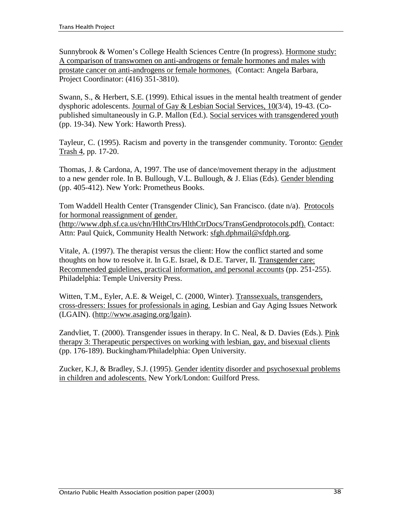Sunnybrook & Women's College Health Sciences Centre (In progress). Hormone study: A comparison of transwomen on anti-androgens or female hormones and males with prostate cancer on anti-androgens or female hormones. (Contact: Angela Barbara, Project Coordinator: (416) 351-3810).

Swann, S., & Herbert, S.E. (1999). Ethical issues in the mental health treatment of gender dysphoric adolescents. Journal of Gay & Lesbian Social Services, 10(3/4), 19-43. (Copublished simultaneously in G.P. Mallon (Ed.). Social services with transgendered youth (pp. 19-34). New York: Haworth Press).

Tayleur, C. (1995). Racism and poverty in the transgender community. Toronto: Gender Trash 4, pp. 17-20.

Thomas, J. & Cardona, A, 1997. The use of dance/movement therapy in the adjustment to a new gender role. In B. Bullough, V.L. Bullough, & J. Elias (Eds). Gender blending (pp. 405-412). New York: Prometheus Books.

Tom Waddell Health Center (Transgender Clinic), San Francisco. (date n/a). Protocols for hormonal reassignment of gender. (http://www.dph.sf.ca.us/chn/HlthCtrs/HlthCtrDocs/TransGendprotocols.pdf). Contact:

Attn: Paul Quick, Community Health Network: sfgh.dphmail@sfdph.org.

Vitale, A. (1997). The therapist versus the client: How the conflict started and some thoughts on how to resolve it. In G.E. Israel, & D.E. Tarver, II. Transgender care: Recommended guidelines, practical information, and personal accounts (pp. 251-255). Philadelphia: Temple University Press.

Witten, T.M., Eyler, A.E. & Weigel, C. (2000, Winter). Transsexuals, transgenders, cross-dressers: Issues for professionals in aging. Lesbian and Gay Aging Issues Network (LGAIN). (http://www.asaging.org/lgain).

Zandvliet, T. (2000). Transgender issues in therapy. In C. Neal, & D. Davies (Eds.). Pink therapy 3: Therapeutic perspectives on working with lesbian, gay, and bisexual clients (pp. 176-189). Buckingham/Philadelphia: Open University.

Zucker, K.J, & Bradley, S.J. (1995). Gender identity disorder and psychosexual problems in children and adolescents. New York/London: Guilford Press.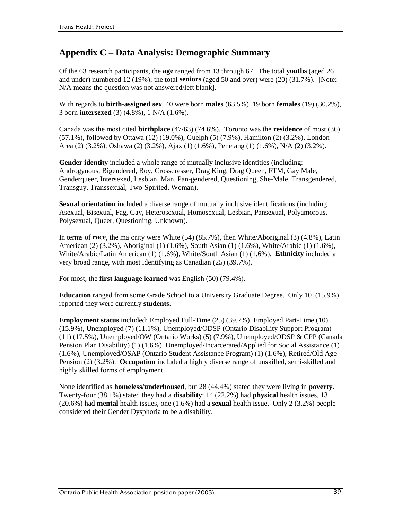## **Appendix C – Data Analysis: Demographic Summary**

Of the 63 research participants, the **age** ranged from 13 through 67. The total **youths** (aged 26 and under) numbered 12 (19%); the total **seniors** (aged 50 and over) were (20) (31.7%). [Note: N/A means the question was not answered/left blank].

With regards to **birth-assigned sex**, 40 were born **males** (63.5%), 19 born **females** (19) (30.2%), 3 born **intersexed** (3) (4.8%), 1 N/A (1.6%).

Canada was the most cited **birthplace** (47/63) (74.6%). Toronto was the **residence** of most (36) (57.1%), followed by Ottawa (12) (19.0%), Guelph (5) (7.9%), Hamilton (2) (3.2%), London Area (2) (3.2%), Oshawa (2) (3.2%), Ajax (1) (1.6%), Penetang (1) (1.6%), N/A (2) (3.2%).

**Gender identity** included a whole range of mutually inclusive identities (including: Androgynous, Bigendered, Boy, Crossdresser, Drag King, Drag Queen, FTM, Gay Male, Genderqueer, Intersexed, Lesbian, Man, Pan-gendered, Questioning, She-Male, Transgendered, Transguy, Transsexual, Two-Spirited, Woman).

**Sexual orientation** included a diverse range of mutually inclusive identifications (including Asexual, Bisexual, Fag, Gay, Heterosexual, Homosexual, Lesbian, Pansexual, Polyamorous, Polysexual, Queer, Questioning, Unknown).

In terms of **race**, the majority were White (54) (85.7%), then White/Aboriginal (3) (4.8%), Latin American (2) (3.2%), Aboriginal (1) (1.6%), South Asian (1) (1.6%), White/Arabic (1) (1.6%), White/Arabic/Latin American (1) (1.6%), White/South Asian (1) (1.6%). **Ethnicity** included a very broad range, with most identifying as Canadian (25) (39.7%).

For most, the **first language learned** was English (50) (79.4%).

**Education** ranged from some Grade School to a University Graduate Degree. Only 10 (15.9%) reported they were currently **students**.

**Employment status** included: Employed Full-Time (25) (39.7%), Employed Part-Time (10) (15.9%), Unemployed (7) (11.1%), Unemployed/ODSP (Ontario Disability Support Program) (11) (17.5%), Unemployed/OW (Ontario Works) (5) (7.9%), Unemployed/ODSP & CPP (Canada Pension Plan Disability) (1) (1.6%), Unemployed/Incarcerated/Applied for Social Assistance (1) (1.6%), Unemployed/OSAP (Ontario Student Assistance Program) (1) (1.6%), Retired/Old Age Pension (2) (3.2%). **Occupation** included a highly diverse range of unskilled, semi-skilled and highly skilled forms of employment.

None identified as **homeless/underhoused**, but 28 (44.4%) stated they were living in **poverty**. Twenty-four (38.1%) stated they had a **disability**: 14 (22.2%) had **physical** health issues, 13 (20.6%) had **mental** health issues, one (1.6%) had a **sexual** health issue. Only 2 (3.2%) people considered their Gender Dysphoria to be a disability.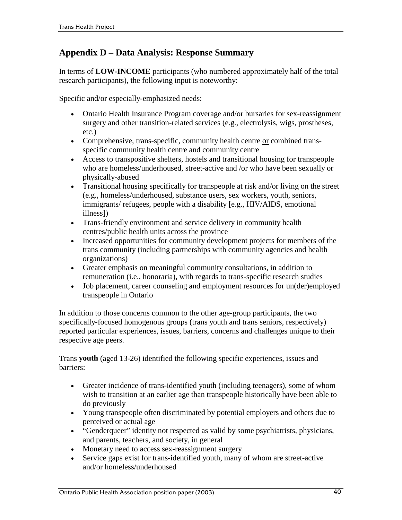## **Appendix D – Data Analysis: Response Summary**

In terms of **LOW-INCOME** participants (who numbered approximately half of the total research participants), the following input is noteworthy:

Specific and/or especially-emphasized needs:

- Ontario Health Insurance Program coverage and/or bursaries for sex-reassignment surgery and other transition-related services (e.g., electrolysis, wigs, prostheses, etc.)
- . Comprehensive, trans-specific, community health centre or combined transspecific community health centre and community centre
- Access to transpositive shelters, hostels and transitional housing for transpeople who are homeless/underhoused, street-active and /or who have been sexually or physically-abused
- Transitional housing specifically for transpeople at risk and/or living on the street (e.g., homeless/underhoused, substance users, sex workers, youth, seniors, immigrants/ refugees, people with a disability [e.g., HIV/AIDS, emotional illness])
- Trans-friendly environment and service delivery in community health centres/public health units across the province
- Increased opportunities for community development projects for members of the trans community (including partnerships with community agencies and health organizations)
- !" Greater emphasis on meaningful community consultations, in addition to remuneration (i.e., honoraria), with regards to trans-specific research studies
- Job placement, career counseling and employment resources for un(der)employed transpeople in Ontario

In addition to those concerns common to the other age-group participants, the two specifically-focused homogenous groups (trans youth and trans seniors, respectively) reported particular experiences, issues, barriers, concerns and challenges unique to their respective age peers.

Trans **youth** (aged 13-26) identified the following specific experiences, issues and barriers:

- !" Greater incidence of trans-identified youth (including teenagers), some of whom wish to transition at an earlier age than transpeople historically have been able to do previously
- Young transpeople often discriminated by potential employers and others due to perceived or actual age
- "Genderqueer" identity not respected as valid by some psychiatrists, physicians, and parents, teachers, and society, in general
- Monetary need to access sex-reassignment surgery
- Service gaps exist for trans-identified youth, many of whom are street-active and/or homeless/underhoused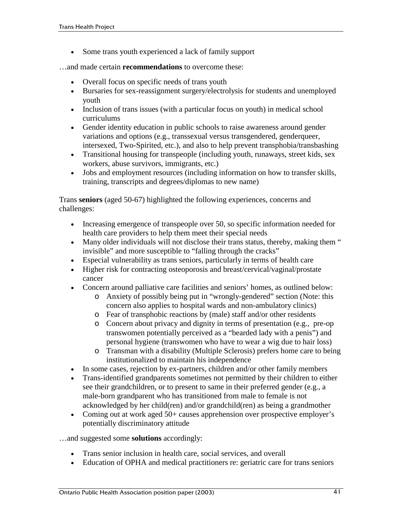• Some trans youth experienced a lack of family support

…and made certain **recommendations** to overcome these:

- Overall focus on specific needs of trans youth
- !" Bursaries for sex-reassignment surgery/electrolysis for students and unemployed youth
- Inclusion of trans issues (with a particular focus on youth) in medical school curriculums
- Gender identity education in public schools to raise awareness around gender variations and options (e.g., transsexual versus transgendered, genderqueer, intersexed, Two-Spirited, etc.), and also to help prevent transphobia/transbashing
- Transitional housing for transpeople (including youth, runaways, street kids, sex workers, abuse survivors, immigrants, etc.)
- !" Jobs and employment resources (including information on how to transfer skills, training, transcripts and degrees/diplomas to new name)

Trans **seniors** (aged 50-67) highlighted the following experiences, concerns and challenges:

- Increasing emergence of transpeople over 50, so specific information needed for health care providers to help them meet their special needs
- Many older individuals will not disclose their trans status, thereby, making them " invisible" and more susceptible to "falling through the cracks"
- !" Especial vulnerability as trans seniors, particularly in terms of health care
- !" Higher risk for contracting osteoporosis and breast/cervical/vaginal/prostate cancer
- !" Concern around palliative care facilities and seniors' homes, as outlined below:
	- o Anxiety of possibly being put in "wrongly-gendered" section (Note: this concern also applies to hospital wards and non-ambulatory clinics)
	- o Fear of transphobic reactions by (male) staff and/or other residents
	- o Concern about privacy and dignity in terms of presentation (e.g., pre-op transwomen potentially perceived as a "bearded lady with a penis") and personal hygiene (transwomen who have to wear a wig due to hair loss)
	- o Transman with a disability (Multiple Sclerosis) prefers home care to being institutionalized to maintain his independence
- In some cases, rejection by ex-partners, children and/or other family members
- Trans-identified grandparents sometimes not permitted by their children to either see their grandchildren, or to present to same in their preferred gender (e.g., a male-born grandparent who has transitioned from male to female is not acknowledged by her child(ren) and/or grandchild(ren) as being a grandmother
- Coming out at work aged 50+ causes apprehension over prospective employer's potentially discriminatory attitude

…and suggested some **solutions** accordingly:

- Trans senior inclusion in health care, social services, and overall
- !" Education of OPHA and medical practitioners re: geriatric care for trans seniors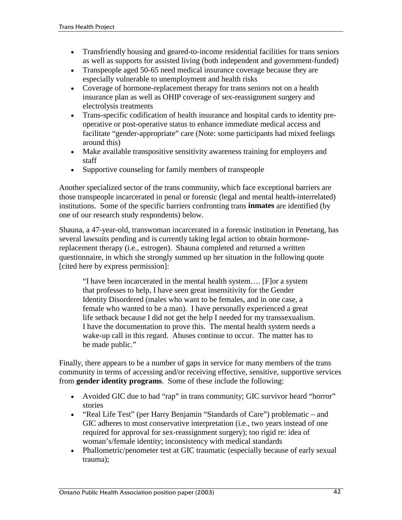- Transfriendly housing and geared-to-income residential facilities for trans seniors as well as supports for assisted living (both independent and government-funded)
- Transpeople aged 50-65 need medical insurance coverage because they are especially vulnerable to unemployment and health risks
- Coverage of hormone-replacement therapy for trans seniors not on a health insurance plan as well as OHIP coverage of sex-reassignment surgery and electrolysis treatments
- Trans-specific codification of health insurance and hospital cards to identity preoperative or post-operative status to enhance immediate medical access and facilitate "gender-appropriate" care (Note: some participants had mixed feelings around this)
- !" Make available transpositive sensitivity awareness training for employers and staff
- Supportive counseling for family members of transpeople

Another specialized sector of the trans community, which face exceptional barriers are those transpeople incarcerated in penal or forensic (legal and mental health-interrelated) institutions. Some of the specific barriers confronting trans **inmates** are identified (by one of our research study respondents) below.

Shauna, a 47-year-old, transwoman incarcerated in a forensic institution in Penetang, has several lawsuits pending and is currently taking legal action to obtain hormonereplacement therapy (i.e., estrogen). Shauna completed and returned a written questionnaire, in which she strongly summed up her situation in the following quote [cited here by express permission]:

"I have been incarcerated in the mental health system…. [F]or a system that professes to help, I have seen great insensitivity for the Gender Identity Disordered (males who want to be females, and in one case, a female who wanted to be a man). I have personally experienced a great life setback because I did not get the help I needed for my transsexualism. I have the documentation to prove this. The mental health system needs a wake-up call in this regard. Abuses continue to occur. The matter has to be made public."

Finally, there appears to be a number of gaps in service for many members of the trans community in terms of accessing and/or receiving effective, sensitive, supportive services from **gender identity programs**. Some of these include the following:

- Avoided GIC due to bad "rap" in trans community; GIC survivor heard "horror" stories
- !" "Real Life Test" (per Harry Benjamin "Standards of Care") problematic and GIC adheres to most conservative interpretation (i.e., two years instead of one required for approval for sex-reassignment surgery); too rigid re: idea of woman's/female identity; inconsistency with medical standards
- Phallometric/penometer test at GIC traumatic (especially because of early sexual trauma);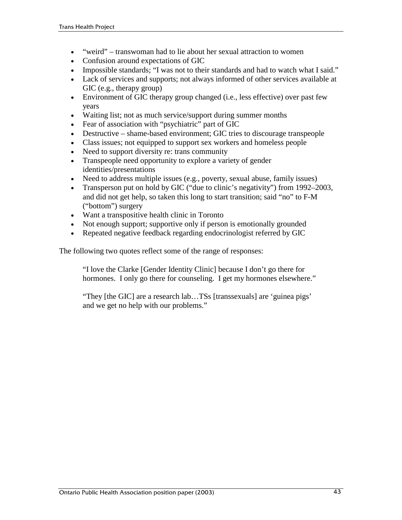- "weird" transwoman had to lie about her sexual attraction to women
- Confusion around expectations of GIC
- Impossible standards; "I was not to their standards and had to watch what I said."
- Lack of services and supports; not always informed of other services available at GIC (e.g., therapy group)
- Environment of GIC therapy group changed (i.e., less effective) over past few years
- !" Waiting list; not as much service/support during summer months
- Fear of association with "psychiatric" part of GIC
- Destructive shame-based environment; GIC tries to discourage transpeople
- !" Class issues; not equipped to support sex workers and homeless people
- Need to support diversity re: trans community
- Transpeople need opportunity to explore a variety of gender identities/presentations
- !" Need to address multiple issues (e.g., poverty, sexual abuse, family issues)
- Transperson put on hold by GIC ("due to clinic's negativity") from 1992–2003, and did not get help, so taken this long to start transition; said "no" to F-M ("bottom") surgery
- !" Want a transpositive health clinic in Toronto
- Not enough support; supportive only if person is emotionally grounded
- Repeated negative feedback regarding endocrinologist referred by GIC

The following two quotes reflect some of the range of responses:

"I love the Clarke [Gender Identity Clinic] because I don't go there for hormones. I only go there for counseling. I get my hormones elsewhere."

"They [the GIC] are a research lab…TSs [transsexuals] are 'guinea pigs' and we get no help with our problems."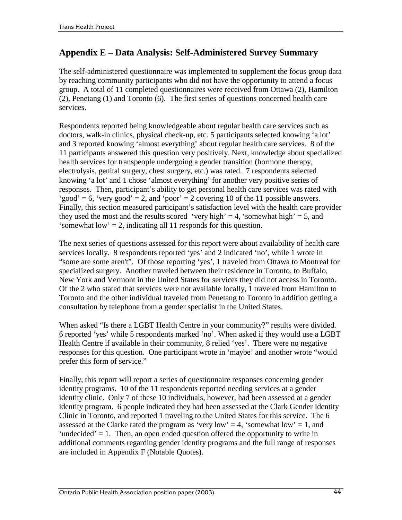## **Appendix E – Data Analysis: Self-Administered Survey Summary**

The self-administered questionnaire was implemented to supplement the focus group data by reaching community participants who did not have the opportunity to attend a focus group. A total of 11 completed questionnaires were received from Ottawa (2), Hamilton (2), Penetang (1) and Toronto (6). The first series of questions concerned health care services.

Respondents reported being knowledgeable about regular health care services such as doctors, walk-in clinics, physical check-up, etc. 5 participants selected knowing 'a lot' and 3 reported knowing 'almost everything' about regular health care services. 8 of the 11 participants answered this question very positively. Next, knowledge about specialized health services for transpeople undergoing a gender transition (hormone therapy, electrolysis, genital surgery, chest surgery, etc.) was rated. 7 respondents selected knowing 'a lot' and 1 chose 'almost everything' for another very positive series of responses. Then, participant's ability to get personal health care services was rated with 'good' = 6, 'very good' = 2, and 'poor' = 2 covering 10 of the 11 possible answers. Finally, this section measured participant's satisfaction level with the health care provider they used the most and the results scored 'very high' = 4, 'somewhat high' = 5, and 'somewhat low' = 2, indicating all 11 responds for this question.

The next series of questions assessed for this report were about availability of health care services locally. 8 respondents reported 'yes' and 2 indicated 'no', while 1 wrote in "some are some aren't". Of those reporting 'yes', 1 traveled from Ottawa to Montreal for specialized surgery. Another traveled between their residence in Toronto, to Buffalo, New York and Vermont in the United States for services they did not access in Toronto. Of the 2 who stated that services were not available locally, 1 traveled from Hamilton to Toronto and the other individual traveled from Penetang to Toronto in addition getting a consultation by telephone from a gender specialist in the United States.

When asked "Is there a LGBT Health Centre in your community?" results were divided. 6 reported 'yes' while 5 respondents marked 'no'. When asked if they would use a LGBT Health Centre if available in their community, 8 relied 'yes'. There were no negative responses for this question. One participant wrote in 'maybe' and another wrote "would prefer this form of service."

Finally, this report will report a series of questionnaire responses concerning gender identity programs. 10 of the 11 respondents reported needing services at a gender identity clinic. Only 7 of these 10 individuals, however, had been assessed at a gender identity program. 6 people indicated they had been assessed at the Clark Gender Identity Clinic in Toronto, and reported 1 traveling to the United States for this service. The 6 assessed at the Clarke rated the program as 'very low' = 4, 'somewhat low' = 1, and 'undecided'  $= 1$ . Then, an open ended question offered the opportunity to write in additional comments regarding gender identity programs and the full range of responses are included in Appendix F (Notable Quotes).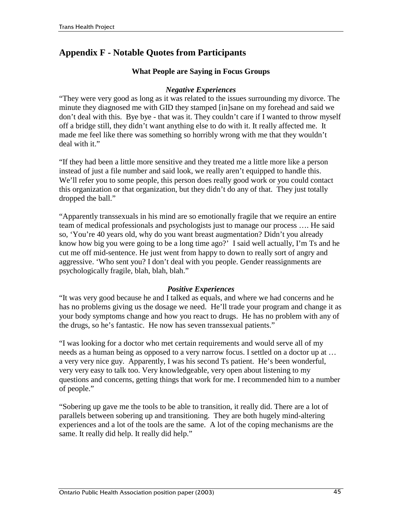## **Appendix F - Notable Quotes from Participants**

## **What People are Saying in Focus Groups**

## *Negative Experiences*

"They were very good as long as it was related to the issues surrounding my divorce. The minute they diagnosed me with GID they stamped [in]sane on my forehead and said we don't deal with this. Bye bye - that was it. They couldn't care if I wanted to throw myself off a bridge still, they didn't want anything else to do with it. It really affected me. It made me feel like there was something so horribly wrong with me that they wouldn't deal with it."

"If they had been a little more sensitive and they treated me a little more like a person instead of just a file number and said look, we really aren't equipped to handle this. We'll refer you to some people, this person does really good work or you could contact this organization or that organization, but they didn't do any of that. They just totally dropped the ball."

"Apparently transsexuals in his mind are so emotionally fragile that we require an entire team of medical professionals and psychologists just to manage our process …. He said so, 'You're 40 years old, why do you want breast augmentation? Didn't you already know how big you were going to be a long time ago?' I said well actually, I'm Ts and he cut me off mid-sentence. He just went from happy to down to really sort of angry and aggressive. 'Who sent you? I don't deal with you people. Gender reassignments are psychologically fragile, blah, blah, blah."

## *Positive Experiences*

"It was very good because he and I talked as equals, and where we had concerns and he has no problems giving us the dosage we need. He'll trade your program and change it as your body symptoms change and how you react to drugs. He has no problem with any of the drugs, so he's fantastic. He now has seven transsexual patients."

"I was looking for a doctor who met certain requirements and would serve all of my needs as a human being as opposed to a very narrow focus. I settled on a doctor up at … a very very nice guy. Apparently, I was his second Ts patient. He's been wonderful, very very easy to talk too. Very knowledgeable, very open about listening to my questions and concerns, getting things that work for me. I recommended him to a number of people."

"Sobering up gave me the tools to be able to transition, it really did. There are a lot of parallels between sobering up and transitioning. They are both hugely mind-altering experiences and a lot of the tools are the same. A lot of the coping mechanisms are the same. It really did help. It really did help."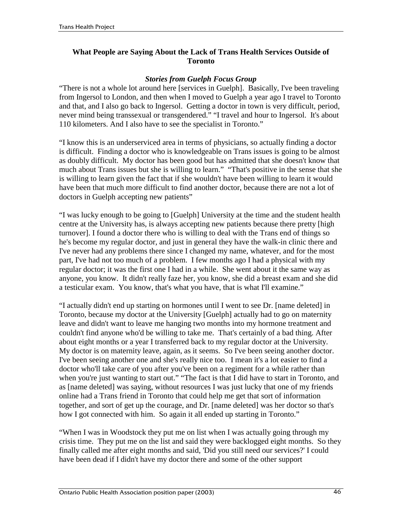## **What People are Saying About the Lack of Trans Health Services Outside of Toronto**

### *Stories from Guelph Focus Group*

"There is not a whole lot around here [services in Guelph]. Basically, I've been traveling from Ingersol to London, and then when I moved to Guelph a year ago I travel to Toronto and that, and I also go back to Ingersol. Getting a doctor in town is very difficult, period, never mind being transsexual or transgendered." "I travel and hour to Ingersol. It's about 110 kilometers. And I also have to see the specialist in Toronto."

"I know this is an underserviced area in terms of physicians, so actually finding a doctor is difficult. Finding a doctor who is knowledgeable on Trans issues is going to be almost as doubly difficult. My doctor has been good but has admitted that she doesn't know that much about Trans issues but she is willing to learn." "That's positive in the sense that she is willing to learn given the fact that if she wouldn't have been willing to learn it would have been that much more difficult to find another doctor, because there are not a lot of doctors in Guelph accepting new patients"

"I was lucky enough to be going to [Guelph] University at the time and the student health centre at the University has, is always accepting new patients because there pretty [high turnover]. I found a doctor there who is willing to deal with the Trans end of things so he's become my regular doctor, and just in general they have the walk-in clinic there and I've never had any problems there since I changed my name, whatever, and for the most part, I've had not too much of a problem. I few months ago I had a physical with my regular doctor; it was the first one I had in a while. She went about it the same way as anyone, you know. It didn't really faze her, you know, she did a breast exam and she did a testicular exam. You know, that's what you have, that is what I'll examine."

"I actually didn't end up starting on hormones until I went to see Dr. [name deleted] in Toronto, because my doctor at the University [Guelph] actually had to go on maternity leave and didn't want to leave me hanging two months into my hormone treatment and couldn't find anyone who'd be willing to take me. That's certainly of a bad thing. After about eight months or a year I transferred back to my regular doctor at the University. My doctor is on maternity leave, again, as it seems. So I've been seeing another doctor. I've been seeing another one and she's really nice too. I mean it's a lot easier to find a doctor who'll take care of you after you've been on a regiment for a while rather than when you're just wanting to start out." "The fact is that I did have to start in Toronto, and as [name deleted] was saying, without resources I was just lucky that one of my friends online had a Trans friend in Toronto that could help me get that sort of information together, and sort of get up the courage, and Dr. [name deleted] was her doctor so that's how I got connected with him. So again it all ended up starting in Toronto."

"When I was in Woodstock they put me on list when I was actually going through my crisis time. They put me on the list and said they were backlogged eight months. So they finally called me after eight months and said, 'Did you still need our services?' I could have been dead if I didn't have my doctor there and some of the other support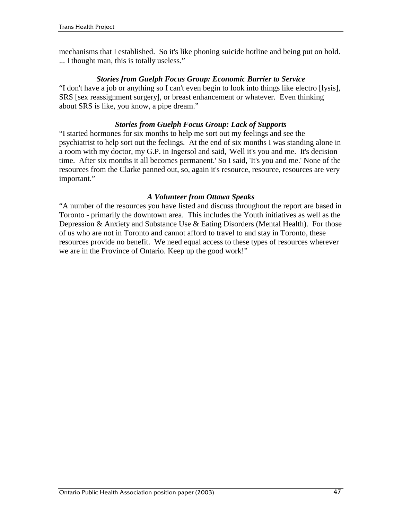mechanisms that I established. So it's like phoning suicide hotline and being put on hold. ... I thought man, this is totally useless."

#### *Stories from Guelph Focus Group: Economic Barrier to Service*

"I don't have a job or anything so I can't even begin to look into things like electro [lysis], SRS [sex reassignment surgery], or breast enhancement or whatever. Even thinking about SRS is like, you know, a pipe dream."

#### *Stories from Guelph Focus Group: Lack of Supports*

"I started hormones for six months to help me sort out my feelings and see the psychiatrist to help sort out the feelings. At the end of six months I was standing alone in a room with my doctor, my G.P. in Ingersol and said, 'Well it's you and me. It's decision time. After six months it all becomes permanent.' So I said, 'It's you and me.' None of the resources from the Clarke panned out, so, again it's resource, resource, resources are very important."

#### *A Volunteer from Ottawa Speaks*

"A number of the resources you have listed and discuss throughout the report are based in Toronto - primarily the downtown area. This includes the Youth initiatives as well as the Depression & Anxiety and Substance Use & Eating Disorders (Mental Health). For those of us who are not in Toronto and cannot afford to travel to and stay in Toronto, these resources provide no benefit. We need equal access to these types of resources wherever we are in the Province of Ontario. Keep up the good work!"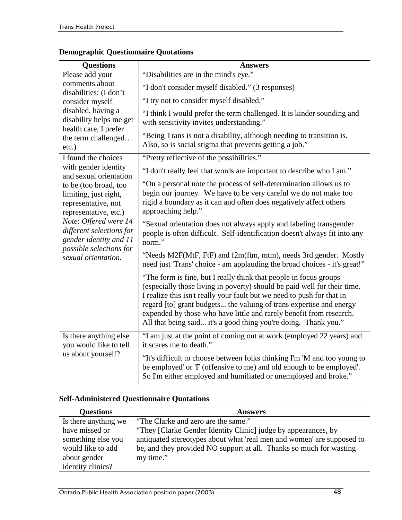## **Demographic Questionnaire Quotations**

| <b>Questions</b>                                                                                                                                                                                                                | <b>Answers</b>                                                                                                                                                                                                                                                                                                                                                                                                                           |
|---------------------------------------------------------------------------------------------------------------------------------------------------------------------------------------------------------------------------------|------------------------------------------------------------------------------------------------------------------------------------------------------------------------------------------------------------------------------------------------------------------------------------------------------------------------------------------------------------------------------------------------------------------------------------------|
| Please add your                                                                                                                                                                                                                 | "Disabilities are in the mind's eye."                                                                                                                                                                                                                                                                                                                                                                                                    |
| comments about<br>disabilities: (I don't                                                                                                                                                                                        | "I don't consider myself disabled." (3 responses)                                                                                                                                                                                                                                                                                                                                                                                        |
| consider myself                                                                                                                                                                                                                 | "I try not to consider myself disabled."                                                                                                                                                                                                                                                                                                                                                                                                 |
| disabled, having a<br>disability helps me get<br>health care, I prefer<br>the term challenged<br>etc.)                                                                                                                          | "I think I would prefer the term challenged. It is kinder sounding and<br>with sensitivity invites understanding."                                                                                                                                                                                                                                                                                                                       |
|                                                                                                                                                                                                                                 | "Being Trans is not a disability, although needing to transition is.<br>Also, so is social stigma that prevents getting a job."                                                                                                                                                                                                                                                                                                          |
| I found the choices                                                                                                                                                                                                             | "Pretty reflective of the possibilities."                                                                                                                                                                                                                                                                                                                                                                                                |
| with gender identity<br>and sexual orientation                                                                                                                                                                                  | "I don't really feel that words are important to describe who I am."                                                                                                                                                                                                                                                                                                                                                                     |
| to be (too broad, too<br>limiting, just right,<br>representative, not<br>representative, etc.)<br>Note: Offered were 14<br>different selections for<br>gender identity and 11<br>possible selections for<br>sexual orientation. | "On a personal note the process of self-determination allows us to<br>begin our journey. We have to be very careful we do not make too<br>rigid a boundary as it can and often does negatively affect others<br>approaching help."                                                                                                                                                                                                       |
|                                                                                                                                                                                                                                 | "Sexual orientation does not always apply and labeling transgender<br>people is often difficult. Self-identification doesn't always fit into any<br>norm."                                                                                                                                                                                                                                                                               |
|                                                                                                                                                                                                                                 | "Needs M2F(MtF, FtF) and f2m(ftm, mtm), needs 3rd gender. Mostly<br>need just 'Trans' choice - am applauding the broad choices - it's great!"                                                                                                                                                                                                                                                                                            |
|                                                                                                                                                                                                                                 | "The form is fine, but I really think that people in focus groups<br>(especially those living in poverty) should be paid well for their time.<br>I realize this isn't really your fault but we need to push for that in<br>regard [to] grant budgets the valuing of trans expertise and energy<br>expended by those who have little and rarely benefit from research.<br>All that being said it's a good thing you're doing. Thank you." |
| Is there anything else<br>you would like to tell<br>us about yourself?                                                                                                                                                          | "I am just at the point of coming out at work (employed 22 years) and<br>it scares me to death."                                                                                                                                                                                                                                                                                                                                         |
|                                                                                                                                                                                                                                 | "It's difficult to choose between folks thinking I'm 'M and too young to<br>be employed' or 'F (offensive to me) and old enough to be employed'.<br>So I'm either employed and humiliated or unemployed and broke."                                                                                                                                                                                                                      |

## **Self-Administered Questionnaire Quotations**

| <b>Questions</b>     | <b>Answers</b>                                                         |
|----------------------|------------------------------------------------------------------------|
| Is there anything we | "The Clarke and zero are the same."                                    |
| have missed or       | "They [Clarke Gender Identity Clinic] judge by appearances, by         |
| something else you   | antiquated stereotypes about what 'real men and women' are supposed to |
| would like to add    | be, and they provided NO support at all. Thanks so much for wasting    |
| about gender         | my time."                                                              |
| identity clinics?    |                                                                        |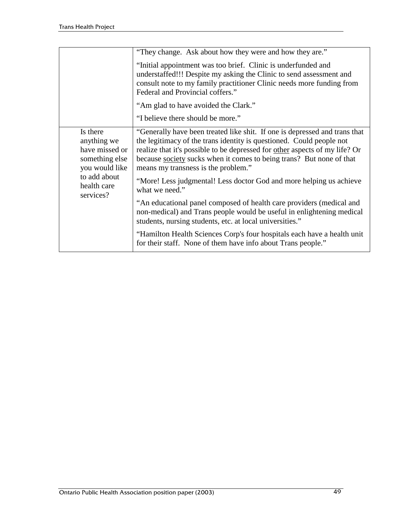|                                                                                                                           | "They change. Ask about how they were and how they are."                                                                                                                                                                                                                                                                                                                                                                                  |
|---------------------------------------------------------------------------------------------------------------------------|-------------------------------------------------------------------------------------------------------------------------------------------------------------------------------------------------------------------------------------------------------------------------------------------------------------------------------------------------------------------------------------------------------------------------------------------|
|                                                                                                                           | "Initial appointment was too brief. Clinic is underfunded and<br>understaffed!!! Despite my asking the Clinic to send assessment and<br>consult note to my family practitioner Clinic needs more funding from<br>Federal and Provincial coffers."                                                                                                                                                                                         |
|                                                                                                                           | "Am glad to have avoided the Clark."                                                                                                                                                                                                                                                                                                                                                                                                      |
|                                                                                                                           | "I believe there should be more."                                                                                                                                                                                                                                                                                                                                                                                                         |
| Is there<br>anything we<br>have missed or<br>something else<br>you would like<br>to add about<br>health care<br>services? | "Generally have been treated like shit. If one is depressed and trans that<br>the legitimacy of the trans identity is questioned. Could people not<br>realize that it's possible to be depressed for other aspects of my life? Or<br>because society sucks when it comes to being trans? But none of that<br>means my transness is the problem."<br>"More! Less judgmental! Less doctor God and more helping us achieve<br>what we need." |
|                                                                                                                           | "An educational panel composed of health care providers (medical and<br>non-medical) and Trans people would be useful in enlightening medical<br>students, nursing students, etc. at local universities."                                                                                                                                                                                                                                 |
|                                                                                                                           | "Hamilton Health Sciences Corp's four hospitals each have a health unit<br>for their staff. None of them have info about Trans people."                                                                                                                                                                                                                                                                                                   |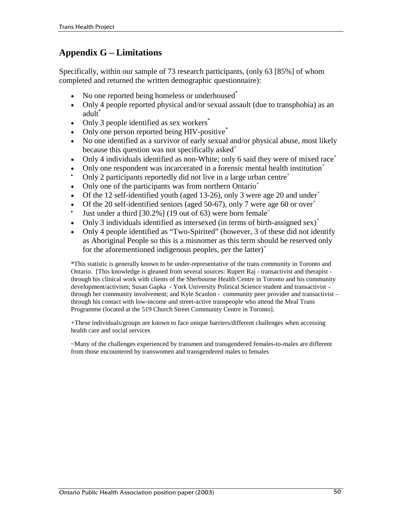## **Appendix G – Limitations**

Specifically, within our sample of 73 research participants, (only 63 [85%] of whom completed and returned the written demographic questionnaire):

- No one reported being homeless or underhoused<sup>\*</sup>
- Only 4 people reported physical and/or sexual assault (due to transphobia) as an adult<sup>\*</sup>
- $\bullet$  Only 3 people identified as sex workers<sup>\*</sup>
- Only one person reported being HIV-positive<sup>\*</sup>
- !" No one identified as a survivor of early sexual and/or physical abuse, most likely because this question was not specifically asked<sup>+</sup>
- Only 4 individuals identified as non-White; only 6 said they were of mixed race<sup>+</sup>
- Only one respondent was incarcerated in a forensic mental health institution<sup>+</sup>
- Only 2 participants reportedly did not live in a large urban centre<sup>+</sup>
- Only one of the participants was from northern Ontario<sup>+</sup>
- Of the 12 self-identified youth (aged 13-26), only 3 were age 20 and under<sup>+</sup>
- Of the 20 self-identified seniors (aged 50-67), only 7 were age 60 or over<sup>+</sup>
- Just under a third  $[30.2\%]$  (19 out of 63) were born female<sup> $\tilde{ }$ </sup>
- Only 3 individuals identified as intersexed (in terms of birth-assigned sex)<sup>+</sup>
- Only 4 people identified as "Two-Spirited" (however, 3 of these did not identify as Aboriginal People so this is a misnomer as this term should be reserved only for the aforementioned indigenous peoples, per the latter)<sup>+</sup>

\*This statistic is generally known to be under-representative of the trans community in Toronto and Ontario. [This knowledge is gleaned from several sources: Rupert Raj - transactivist and therapist through his clinical work with clients of the Sherbourne Health Centre in Toronto and his community development/activism; Susan Gapka - York University Political Science student and transactivist – through her community involvement; and Kyle Scanlon - community peer provider and transactivist – through his contact with low-income and street-active transpeople who attend the Meal Trans Programme (located at the 519 Church Street Community Centre in Toronto].

+These individuals/groups are known to face unique barriers/different challenges when accessing health care and social services

~Many of the challenges experienced by transmen and transgendered females-to-males are different from those encountered by transwomen and transgendered males to females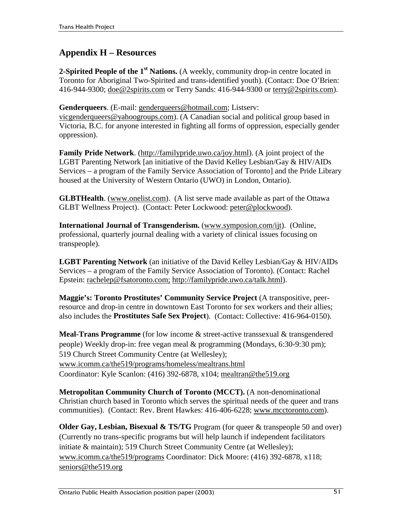## **Appendix H – Resources**

**2-Spirited People of the 1<sup>st</sup> Nations.** (A weekly, community drop-in centre located in Toronto for Aboriginal Two-Spirited and trans-identified youth). (Contact: Doe O'Brien: 416-944-9300; <u>doe@2spirits.com</u> or Terry Sands: 416-944-9300 or terry@2spirits.com).

**Genderqueers**. (E-mail: genderqueers@hotmail.com; Listserv:

vicgenderqueers@yahoogroups.com). (A Canadian social and political group based in Victoria, B.C. for anyone interested in fighting all forms of oppression, especially gender oppression).

**Family Pride Network**. (http://familypride.uwo.ca/joy.html). (A joint project of the LGBT Parenting Network [an initiative of the David Kelley Lesbian/Gay & HIV/AIDs Services – a program of the Family Service Association of Toronto] and the Pride Library housed at the University of Western Ontario (UWO) in London, Ontario).

**GLBTHealth.** (www.onelist.com). (A list serve made available as part of the Ottawa GLBT Wellness Project). (Contact: Peter Lockwood: peter@plockwood).

**International Journal of Transgenderism.** (www.symposion.com/ijt). (Online, professional, quarterly journal dealing with a variety of clinical issues focusing on transpeople).

**LGBT Parenting Network** (an initiative of the David Kelley Lesbian/Gay & HIV/AIDs Services – a program of the Family Service Association of Toronto). (Contact: Rachel Epstein: rachelep@fsatoronto.com; http://familypride.uwo.ca/talk.html).

**Maggie's: Toronto Prostitutes' Community Service Project** (A transpositive, peerresource and drop-in centre in downtown East Toronto for sex workers and their allies; also includes the **Prostitutes Safe Sex Project**). (Contact: Collective: 416-964-0150).

**Meal-Trans Programme** (for low income & street-active transsexual & transgendered people) Weekly drop-in: free vegan meal & programming (Mondays, 6:30-9:30 pm); 519 Church Street Community Centre (at Wellesley); www.icomm.ca/the519/programs/homeless/mealtrans.html Coordinator: Kyle Scanlon: (416) 392-6878, x104; mealtran@the519.org

**Metropolitan Community Church of Toronto (MCCT).** (A non-denominational Christian church based in Toronto which serves the spiritual needs of the queer and trans communities). (Contact: Rev. Brent Hawkes: 416-406-6228; www.mcctoronto.com).

**Older Gay, Lesbian, Bisexual & TS/TG** Program (for queer & transpeople 50 and over) (Currently no trans-specific programs but will help launch if independent facilitators initiate & maintain); 519 Church Street Community Centre (at Wellesley); www.icomm.ca/the519/programs Coordinator: Dick Moore: (416) 392-6878, x118; seniors@the519.org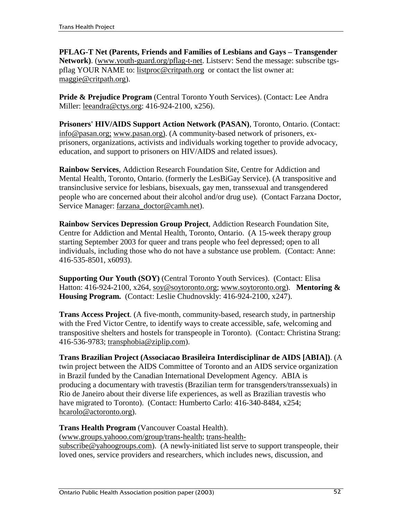**PFLAG-T Net (Parents, Friends and Families of Lesbians and Gays – Transgender Network)**. (www.youth-guard.org/pflag-t-net. Listserv: Send the message: subscribe tgspflag YOUR NAME to: listproc@critpath.org or contact the list owner at: maggie@critpath.org).

**Pride & Prejudice Program** (Central Toronto Youth Services). (Contact: Lee Andra Miller: leeandra@ctys.org: 416-924-2100, x256).

**Prisoners' HIV/AIDS Support Action Network (PASAN)**, Toronto, Ontario. (Contact: info@pasan.org; www.pasan.org). (A community-based network of prisoners, exprisoners, organizations, activists and individuals working together to provide advocacy, education, and support to prisoners on HIV/AIDS and related issues).

**Rainbow Services**, Addiction Research Foundation Site, Centre for Addiction and Mental Health, Toronto, Ontario. (formerly the LesBiGay Service). (A transpositive and transinclusive service for lesbians, bisexuals, gay men, transsexual and transgendered people who are concerned about their alcohol and/or drug use). (Contact Farzana Doctor, Service Manager: farzana\_doctor@camh.net).

**Rainbow Services Depression Group Project**, Addiction Research Foundation Site, Centre for Addiction and Mental Health, Toronto, Ontario. (A 15-week therapy group starting September 2003 for queer and trans people who feel depressed; open to all individuals, including those who do not have a substance use problem. (Contact: Anne: 416-535-8501, x6093).

**Supporting Our Youth (SOY)** (Central Toronto Youth Services). (Contact: Elisa Hatton: 416-924-2100, x264, soy@soytoronto.org; www.soytoronto.org). **Mentoring & Housing Program.** (Contact: Leslie Chudnovskly: 416-924-2100, x247).

**Trans Access Project**. (A five-month, community-based, research study, in partnership with the Fred Victor Centre, to identify ways to create accessible, safe, welcoming and transpositive shelters and hostels for transpeople in Toronto). (Contact: Christina Strang: 416-536-9783; transphobia@ziplip.com).

**Trans Brazilian Project (Associacao Brasileira Interdisciplinar de AIDS [ABIA])**. (A twin project between the AIDS Committee of Toronto and an AIDS service organization in Brazil funded by the Canadian International Development Agency. ABIA is producing a documentary with travestis (Brazilian term for transgenders/transsexuals) in Rio de Janeiro about their diverse life experiences, as well as Brazilian travestis who have migrated to Toronto). (Contact: Humberto Carlo: 416-340-8484, x254; hcarolo@actoronto.org).

## **Trans Health Program** (Vancouver Coastal Health).

(www.groups.yahooo.com/group/trans-health; trans-health-

subscribe@yahoogroups.com). (A newly-initiated list serve to support transpeople, their loved ones, service providers and researchers, which includes news, discussion, and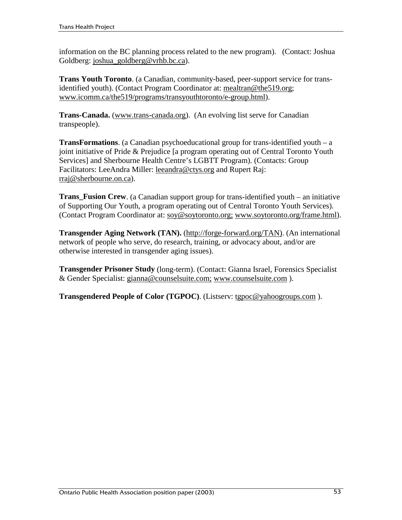information on the BC planning process related to the new program). (Contact: Joshua Goldberg: joshua\_goldberg@vrhb.bc.ca).

**Trans Youth Toronto**. (a Canadian, community-based, peer-support service for transidentified youth). (Contact Program Coordinator at: mealtran@the519.org; www.icomm.ca/the519/programs/transyouthtoronto/e-group.html).

**Trans-Canada.** (www.trans-canada.org). (An evolving list serve for Canadian transpeople).

**TransFormations**. (a Canadian psychoeducational group for trans-identified youth – a joint initiative of Pride & Prejudice [a program operating out of Central Toronto Youth Services] and Sherbourne Health Centre's LGBTT Program). (Contacts: Group Facilitators: LeeAndra Miller: leeandra@ctys.org and Rupert Raj: rraj@sherbourne.on.ca).

**Trans\_Fusion Crew**. (a Canadian support group for trans-identified youth – an initiative of Supporting Our Youth, a program operating out of Central Toronto Youth Services). (Contact Program Coordinator at: soy@soytoronto.org; www.soytoronto.org/frame.html).

**Transgender Aging Network (TAN).** (http://forge-forward.org/TAN). (An international network of people who serve, do research, training, or advocacy about, and/or are otherwise interested in transgender aging issues).

**Transgender Prisoner Study** (long-term). (Contact: Gianna Israel, Forensics Specialist & Gender Specialist: gianna@counselsuite.com; www.counselsuite.com ).

**Transgendered People of Color (TGPOC)**. (Listserv: tgpoc@yahoogroups.com ).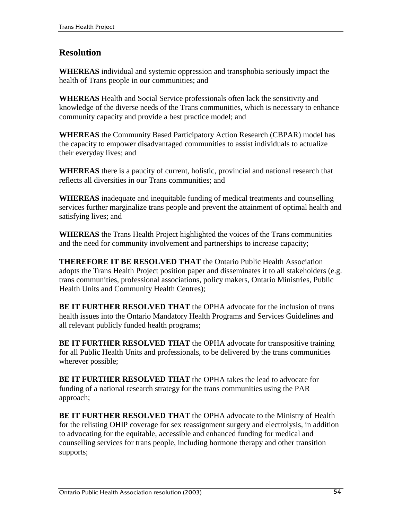## **Resolution**

**WHEREAS** individual and systemic oppression and transphobia seriously impact the health of Trans people in our communities; and

**WHEREAS** Health and Social Service professionals often lack the sensitivity and knowledge of the diverse needs of the Trans communities, which is necessary to enhance community capacity and provide a best practice model; and

**WHEREAS** the Community Based Participatory Action Research (CBPAR) model has the capacity to empower disadvantaged communities to assist individuals to actualize their everyday lives; and

**WHEREAS** there is a paucity of current, holistic, provincial and national research that reflects all diversities in our Trans communities; and

**WHEREAS** inadequate and inequitable funding of medical treatments and counselling services further marginalize trans people and prevent the attainment of optimal health and satisfying lives; and

**WHEREAS** the Trans Health Project highlighted the voices of the Trans communities and the need for community involvement and partnerships to increase capacity;

**THEREFORE IT BE RESOLVED THAT** the Ontario Public Health Association adopts the Trans Health Project position paper and disseminates it to all stakeholders (e.g. trans communities, professional associations, policy makers, Ontario Ministries, Public Health Units and Community Health Centres);

**BE IT FURTHER RESOLVED THAT** the OPHA advocate for the inclusion of trans health issues into the Ontario Mandatory Health Programs and Services Guidelines and all relevant publicly funded health programs;

**BE IT FURTHER RESOLVED THAT** the OPHA advocate for transpositive training for all Public Health Units and professionals, to be delivered by the trans communities wherever possible;

**BE IT FURTHER RESOLVED THAT** the OPHA takes the lead to advocate for funding of a national research strategy for the trans communities using the PAR approach;

**BE IT FURTHER RESOLVED THAT** the OPHA advocate to the Ministry of Health for the relisting OHIP coverage for sex reassignment surgery and electrolysis, in addition to advocating for the equitable, accessible and enhanced funding for medical and counselling services for trans people, including hormone therapy and other transition supports;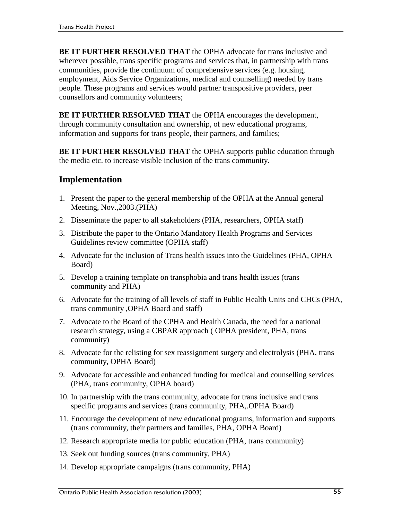**BE IT FURTHER RESOLVED THAT** the OPHA advocate for trans inclusive and wherever possible, trans specific programs and services that, in partnership with trans communities, provide the continuum of comprehensive services (e.g. housing, employment, Aids Service Organizations, medical and counselling) needed by trans people. These programs and services would partner transpositive providers, peer counsellors and community volunteers;

**BE IT FURTHER RESOLVED THAT** the OPHA encourages the development, through community consultation and ownership, of new educational programs, information and supports for trans people, their partners, and families;

**BE IT FURTHER RESOLVED THAT** the OPHA supports public education through the media etc. to increase visible inclusion of the trans community.

## **Implementation**

- 1. Present the paper to the general membership of the OPHA at the Annual general Meeting, Nov.,2003.(PHA)
- 2. Disseminate the paper to all stakeholders (PHA, researchers, OPHA staff)
- 3. Distribute the paper to the Ontario Mandatory Health Programs and Services Guidelines review committee (OPHA staff)
- 4. Advocate for the inclusion of Trans health issues into the Guidelines (PHA, OPHA Board)
- 5. Develop a training template on transphobia and trans health issues (trans community and PHA)
- 6. Advocate for the training of all levels of staff in Public Health Units and CHCs (PHA, trans community ,OPHA Board and staff)
- 7. Advocate to the Board of the CPHA and Health Canada, the need for a national research strategy, using a CBPAR approach ( OPHA president, PHA, trans community)
- 8. Advocate for the relisting for sex reassignment surgery and electrolysis (PHA, trans community, OPHA Board)
- 9. Advocate for accessible and enhanced funding for medical and counselling services (PHA, trans community, OPHA board)
- 10. In partnership with the trans community, advocate for trans inclusive and trans specific programs and services (trans community, PHA,.OPHA Board)
- 11. Encourage the development of new educational programs, information and supports (trans community, their partners and families, PHA, OPHA Board)
- 12. Research appropriate media for public education (PHA, trans community)
- 13. Seek out funding sources (trans community, PHA)
- 14. Develop appropriate campaigns (trans community, PHA)